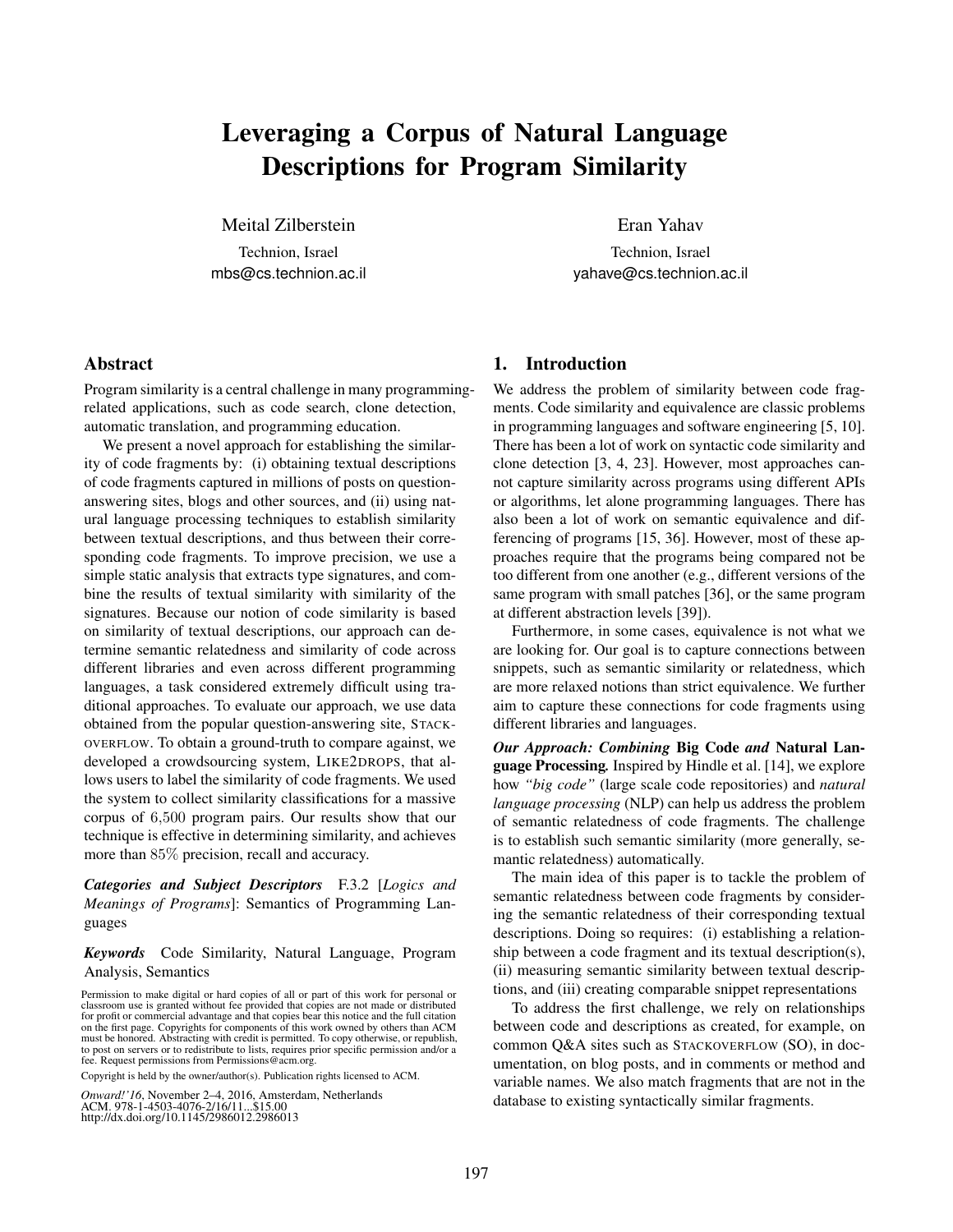# Leveraging a Corpus of Natural Language Descriptions for Program Similarity

Meital Zilberstein

Technion, Israel mbs@cs.technion.ac.il Eran Yahav

Technion, Israel yahave@cs.technion.ac.il

# Abstract

Program similarity is a central challenge in many programmingrelated applications, such as code search, clone detection, automatic translation, and programming education.

We present a novel approach for establishing the similarity of code fragments by: (i) obtaining textual descriptions of code fragments captured in millions of posts on questionanswering sites, blogs and other sources, and (ii) using natural language processing techniques to establish similarity between textual descriptions, and thus between their corresponding code fragments. To improve precision, we use a simple static analysis that extracts type signatures, and combine the results of textual similarity with similarity of the signatures. Because our notion of code similarity is based on similarity of textual descriptions, our approach can determine semantic relatedness and similarity of code across different libraries and even across different programming languages, a task considered extremely difficult using traditional approaches. To evaluate our approach, we use data obtained from the popular question-answering site, STACK-OVERFLOW. To obtain a ground-truth to compare against, we developed a crowdsourcing system, LIKE2DROPS, that allows users to label the similarity of code fragments. We used the system to collect similarity classifications for a massive corpus of 6,500 program pairs. Our results show that our technique is effective in determining similarity, and achieves more than 85% precision, recall and accuracy.

*Categories and Subject Descriptors* F.3.2 [*Logics and Meanings of Programs*]: Semantics of Programming Languages

*Keywords* Code Similarity, Natural Language, Program Analysis, Semantics

Copyright is held by the owner/author(s). Publication rights licensed to ACM.

*Onward!'16*, November 2–4, 2016, Amsterdam, Netherlands ACM. 978-1-4503-4076-2/16/11...\$15.00 http://dx.doi.org/10.1145/2986012.2986013

# 1. Introduction

We address the problem of similarity between code fragments. Code similarity and equivalence are classic problems in programming languages and software engineering [\[5,](#page-13-0) [10\]](#page-13-1). There has been a lot of work on syntactic code similarity and clone detection [\[3,](#page-13-2) [4,](#page-13-3) [23\]](#page-13-4). However, most approaches cannot capture similarity across programs using different APIs or algorithms, let alone programming languages. There has also been a lot of work on semantic equivalence and differencing of programs [\[15,](#page-13-5) [36\]](#page-14-0). However, most of these approaches require that the programs being compared not be too different from one another (e.g., different versions of the same program with small patches [\[36\]](#page-14-0), or the same program at different abstraction levels [\[39\]](#page-14-1)).

Furthermore, in some cases, equivalence is not what we are looking for. Our goal is to capture connections between snippets, such as semantic similarity or relatedness, which are more relaxed notions than strict equivalence. We further aim to capture these connections for code fragments using different libraries and languages.

*Our Approach: Combining* Big Code *and* Natural Language Processing*.* Inspired by Hindle et al. [\[14\]](#page-13-6), we explore how *"big code"* (large scale code repositories) and *natural language processing* (NLP) can help us address the problem of semantic relatedness of code fragments. The challenge is to establish such semantic similarity (more generally, semantic relatedness) automatically.

The main idea of this paper is to tackle the problem of semantic relatedness between code fragments by considering the semantic relatedness of their corresponding textual descriptions. Doing so requires: (i) establishing a relationship between a code fragment and its textual description(s), (ii) measuring semantic similarity between textual descriptions, and (iii) creating comparable snippet representations

To address the first challenge, we rely on relationships between code and descriptions as created, for example, on common Q&A sites such as S[TACKOVERFLOW](http://www.stackoverflow.com) (SO), in documentation, on blog posts, and in comments or method and variable names. We also match fragments that are not in the database to existing syntactically similar fragments.

Permission to make digital or hard copies of all or part of this work for personal or classroom use is granted without fee provided that copies are not made or distributed for profit or commercial advantage and that copies bear this notice and the full citation on the first page. Copyrights for components of this work owned by others than ACM must be honored. Abstracting with credit is permitted. To copy otherwise, or republish, to post on servers or to redistribute to lists, requires prior specific permission and/or a fee. Request permissions from Permissions@acm.org.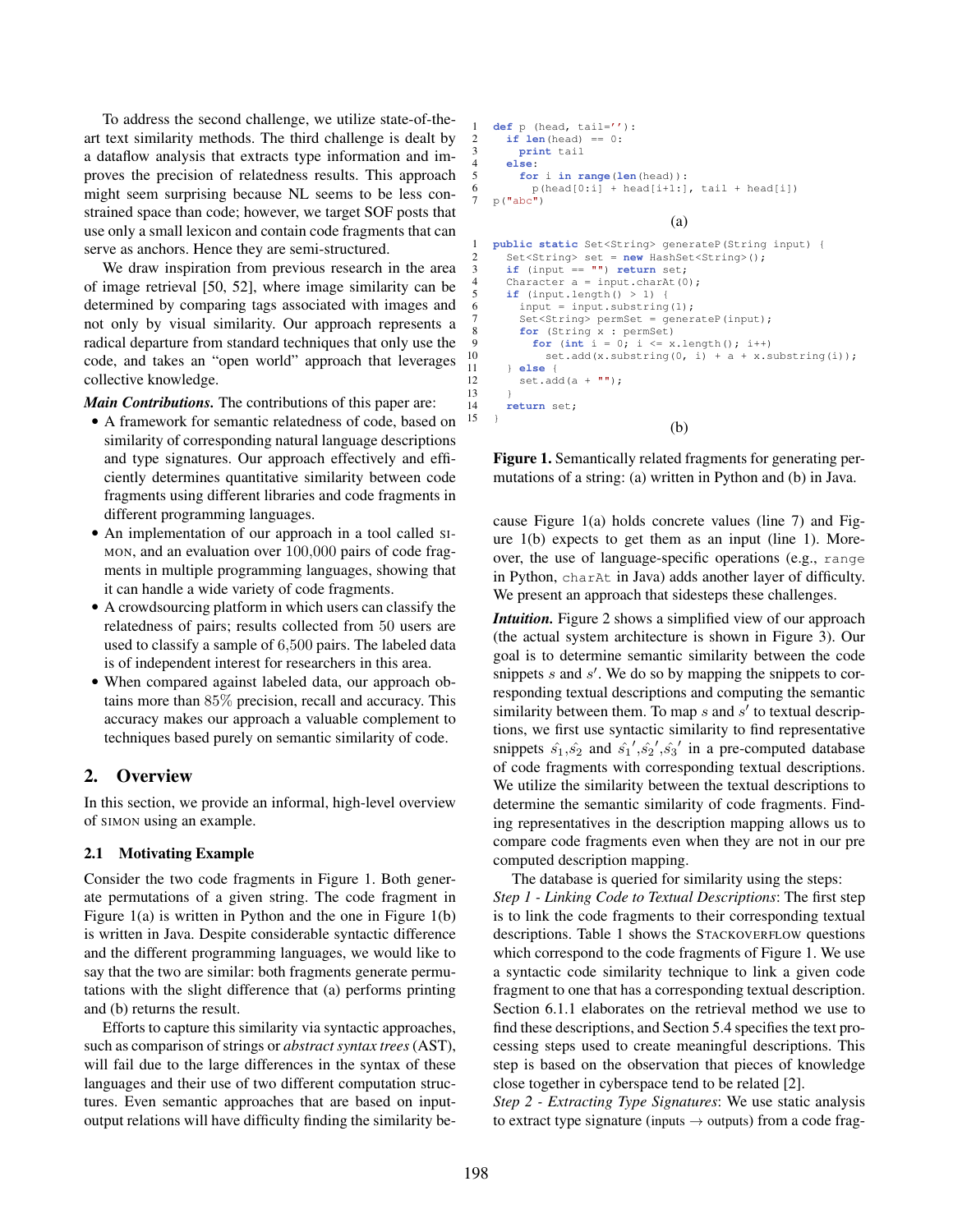To address the second challenge, we utilize state-of-theart text similarity methods. The third challenge is dealt by a dataflow analysis that extracts type information and improves the precision of relatedness results. This approach might seem surprising because NL seems to be less constrained space than code; however, we target SOF posts that use only a small lexicon and contain code fragments that can serve as anchors. Hence they are semi-structured.

We draw inspiration from previous research in the area of image retrieval [\[50,](#page-14-2) [52\]](#page-14-3), where image similarity can be determined by comparing tags associated with images and not only by visual similarity. Our approach represents a radical departure from standard techniques that only use the code, and takes an "open world" approach that leverages collective knowledge.

*Main Contributions.* The contributions of this paper are:

- A framework for semantic relatedness of code, based on similarity of corresponding natural language descriptions and type signatures. Our approach effectively and efficiently determines quantitative similarity between code fragments using different libraries and code fragments in different programming languages.
- An implementation of our approach in a tool called si-MON, and an evaluation over 100,000 pairs of code fragments in multiple programming languages, showing that it can handle a wide variety of code fragments.
- A crowdsourcing platform in which users can classify the relatedness of pairs; results collected from 50 users are used to classify a sample of 6,500 pairs. The labeled data is of independent interest for researchers in this area.
- When compared against labeled data, our approach obtains more than 85% precision, recall and accuracy. This accuracy makes our approach a valuable complement to techniques based purely on semantic similarity of code.

# 2. Overview

In this section, we provide an informal, high-level overview of SIMON using an example.

## 2.1 Motivating Example

Consider the two code fragments in [Figure 1.](#page-1-0) Both generate permutations of a given string. The code fragment in [Figure 1\(a\)](#page-1-0) is written in Python and the one in [Figure 1\(b\)](#page-1-0) is written in Java. Despite considerable syntactic difference and the different programming languages, we would like to say that the two are similar: both fragments generate permutations with the slight difference that (a) performs printing and (b) returns the result.

Efforts to capture this similarity via syntactic approaches, such as comparison of strings or *abstract syntax trees* (AST), will fail due to the large differences in the syntax of these languages and their use of two different computation structures. Even semantic approaches that are based on inputoutput relations will have difficulty finding the similarity be-

```
def p (head, tail=''):
     2 if len(head) == 0:
       3 print tail
4 else:
       5 for i in range(len(head)):
         p(head[0:i] + head[i+1:], tail + head[i])p("abc")
```
(a)

```
1 public static Set<String> generateP(String input) {
      2 Set<String> set = new HashSet<String>();
      3 if (input == "") return set;
4 Character a = input.charAt(0);
5 if (input.length() > 1) {
         input = input.substring(1);7 Set<String> permSet = generateP(input);<br>8 for (String \times : permset)8 for (String x : permSet)
9 for (int i = 0; i \leq x.length(); i++)<br>10 set.add(x.substring(0, i) + a + x.s
10 set.add(x.substring(0, i) + a + x.substring(i));<br>11 + else {
11 } else {
         set.add(a + "");
14 return set;
15 }
                                    (b)
```
Figure 1. Semantically related fragments for generating permutations of a string: (a) written in Python and (b) in Java.

cause [Figure 1\(a\)](#page-1-0) holds concrete values (line 7) and [Fig](#page-1-0)[ure 1\(b\)](#page-1-0) expects to get them as an input (line 1). Moreover, the use of language-specific operations (e.g., range in Python, charAt in Java) adds another layer of difficulty. We present an approach that sidesteps these challenges.

*Intuition.* [Figure 2](#page-2-0) shows a simplified view of our approach (the actual system architecture is shown in [Figure 3\)](#page-2-1). Our goal is to determine semantic similarity between the code snippets  $s$  and  $s'$ . We do so by mapping the snippets to corresponding textual descriptions and computing the semantic similarity between them. To map  $s$  and  $s'$  to textual descriptions, we first use syntactic similarity to find representative snippets  $\hat{s_1}, \hat{s_2}$  and  $\hat{s_1}', \hat{s_2}', \hat{s_3}'$  in a pre-computed database of code fragments with corresponding textual descriptions. We utilize the similarity between the textual descriptions to determine the semantic similarity of code fragments. Finding representatives in the description mapping allows us to compare code fragments even when they are not in our pre computed description mapping.

The database is queried for similarity using the steps: *Step 1 - Linking Code to Textual Descriptions*: The first step is to link the code fragments to their corresponding textual descriptions. [Table 1](#page-2-2) shows the STACKOVERFLOW questions which correspond to the code fragments of [Figure 1.](#page-1-0) We use a syntactic code similarity technique to link a given code fragment to one that has a corresponding textual description. [Section 6.1.1](#page-7-0) elaborates on the retrieval method we use to find these descriptions, and [Section 5.4](#page-5-0) specifies the text processing steps used to create meaningful descriptions. This step is based on the observation that pieces of knowledge close together in cyberspace tend to be related [\[2\]](#page-13-7).

*Step 2 - Extracting Type Signatures*: We use static analysis to extract type signature (inputs  $\rightarrow$  outputs) from a code frag-

13 }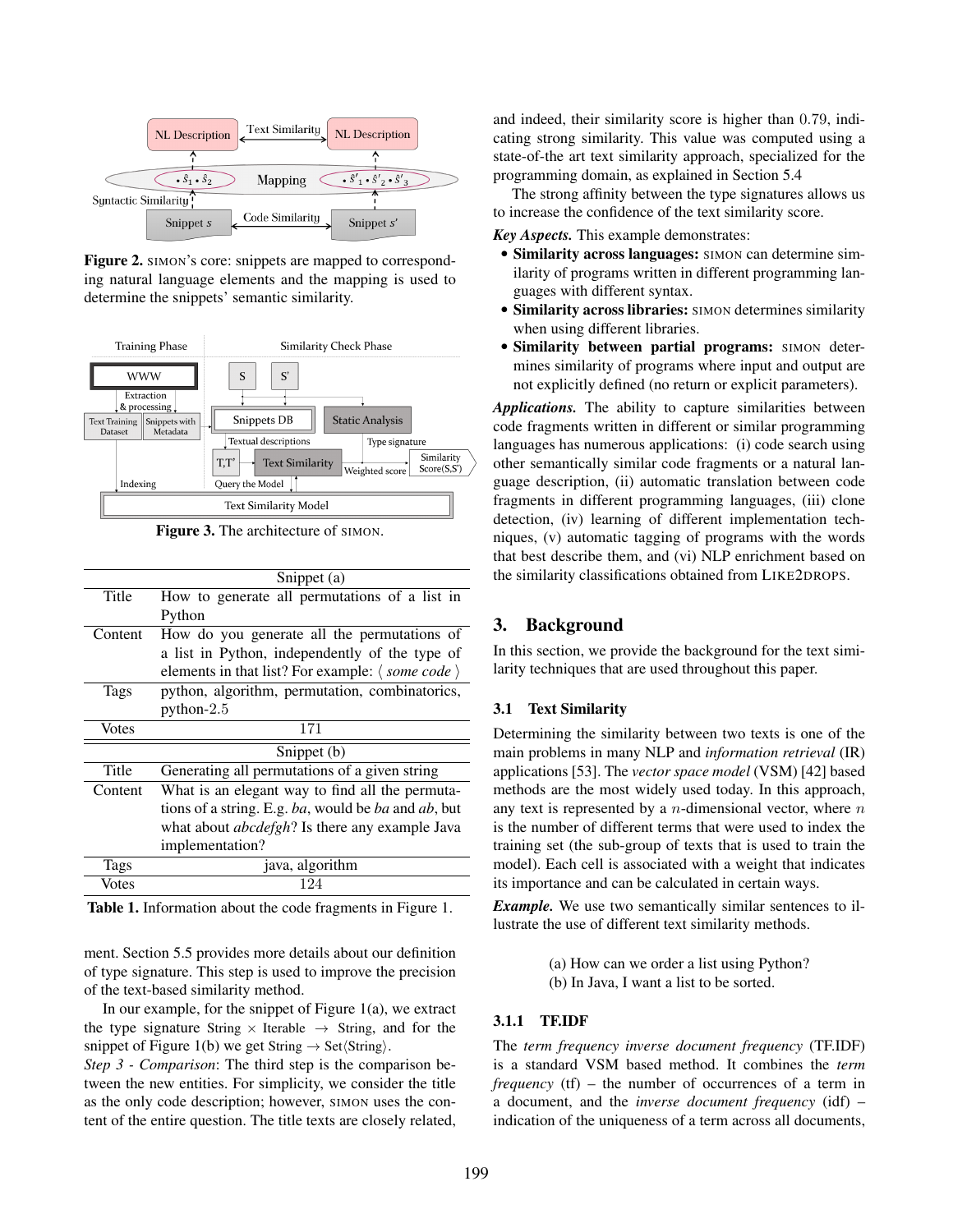<span id="page-2-0"></span>

Figure 2. SIMON's core: snippets are mapped to corresponding natural language elements and the mapping is used to determine the snippets' semantic similarity.

<span id="page-2-1"></span>

Figure 3. The architecture of SIMON.

<span id="page-2-2"></span>

|         | Snippet (a)                                                       |  |  |
|---------|-------------------------------------------------------------------|--|--|
| Title   | How to generate all permutations of a list in                     |  |  |
|         | Python                                                            |  |  |
| Content | How do you generate all the permutations of                       |  |  |
|         | a list in Python, independently of the type of                    |  |  |
|         | elements in that list? For example: $\langle$ some code $\rangle$ |  |  |
| Tags    | python, algorithm, permutation, combinatorics,                    |  |  |
|         | $python-2.5$                                                      |  |  |
| Votes   | 171                                                               |  |  |
|         | Snippet (b)                                                       |  |  |
| Title   | Generating all permutations of a given string                     |  |  |
| Content | What is an elegant way to find all the permuta-                   |  |  |
|         | tions of a string. E.g. ba, would be ba and ab, but               |  |  |
|         | what about <i>abcdefgh</i> ? Is there any example Java            |  |  |
|         | implementation?                                                   |  |  |
| Tags    | java, algorithm                                                   |  |  |
| Votes   | 124                                                               |  |  |

Table 1. Information about the code fragments in [Figure 1.](#page-1-0)

ment. [Section 5.5](#page-6-0) provides more details about our definition of type signature. This step is used to improve the precision of the text-based similarity method.

In our example, for the snippet of Figure  $1(a)$ , we extract the type signature String  $\times$  Iterable  $\rightarrow$  String, and for the snippet of [Figure 1\(b\)](#page-1-0) we get String  $\rightarrow$  Set $\langle$ String).

*Step 3 - Comparison*: The third step is the comparison between the new entities. For simplicity, we consider the title as the only code description; however, SIMON uses the content of the entire question. The title texts are closely related, and indeed, their similarity score is higher than 0.79, indicating strong similarity. This value was computed using a state-of-the art text similarity approach, specialized for the programming domain, as explained in [Section 5.4](#page-5-0)

The strong affinity between the type signatures allows us to increase the confidence of the text similarity score.

*Key Aspects.* This example demonstrates:

- Similarity across languages: SIMON can determine similarity of programs written in different programming languages with different syntax.
- Similarity across libraries: SIMON determines similarity when using different libraries.
- Similarity between partial programs: SIMON determines similarity of programs where input and output are not explicitly defined (no return or explicit parameters).

*Applications.* The ability to capture similarities between code fragments written in different or similar programming languages has numerous applications: (i) code search using other semantically similar code fragments or a natural language description, (ii) automatic translation between code fragments in different programming languages, (iii) clone detection, (iv) learning of different implementation techniques, (v) automatic tagging of programs with the words that best describe them, and (vi) NLP enrichment based on the similarity classifications obtained from LIKE2DROPS.

# <span id="page-2-3"></span>3. Background

In this section, we provide the background for the text similarity techniques that are used throughout this paper.

#### 3.1 Text Similarity

Determining the similarity between two texts is one of the main problems in many NLP and *information retrieval* (IR) applications [\[53\]](#page-14-4). The *vector space model* (VSM) [\[42\]](#page-14-5) based methods are the most widely used today. In this approach, any text is represented by a *n*-dimensional vector, where  $n$ is the number of different terms that were used to index the training set (the sub-group of texts that is used to train the model). Each cell is associated with a weight that indicates its importance and can be calculated in certain ways.

*Example.* We use two semantically similar sentences to illustrate the use of different text similarity methods.

> (a) How can we order a list using Python? (b) In Java, I want a list to be sorted.

# 3.1.1 TF.IDF

The *term frequency inverse document frequency* (TF.IDF) is a standard VSM based method. It combines the *term frequency* (tf) – the number of occurrences of a term in a document, and the *inverse document frequency* (idf) – indication of the uniqueness of a term across all documents,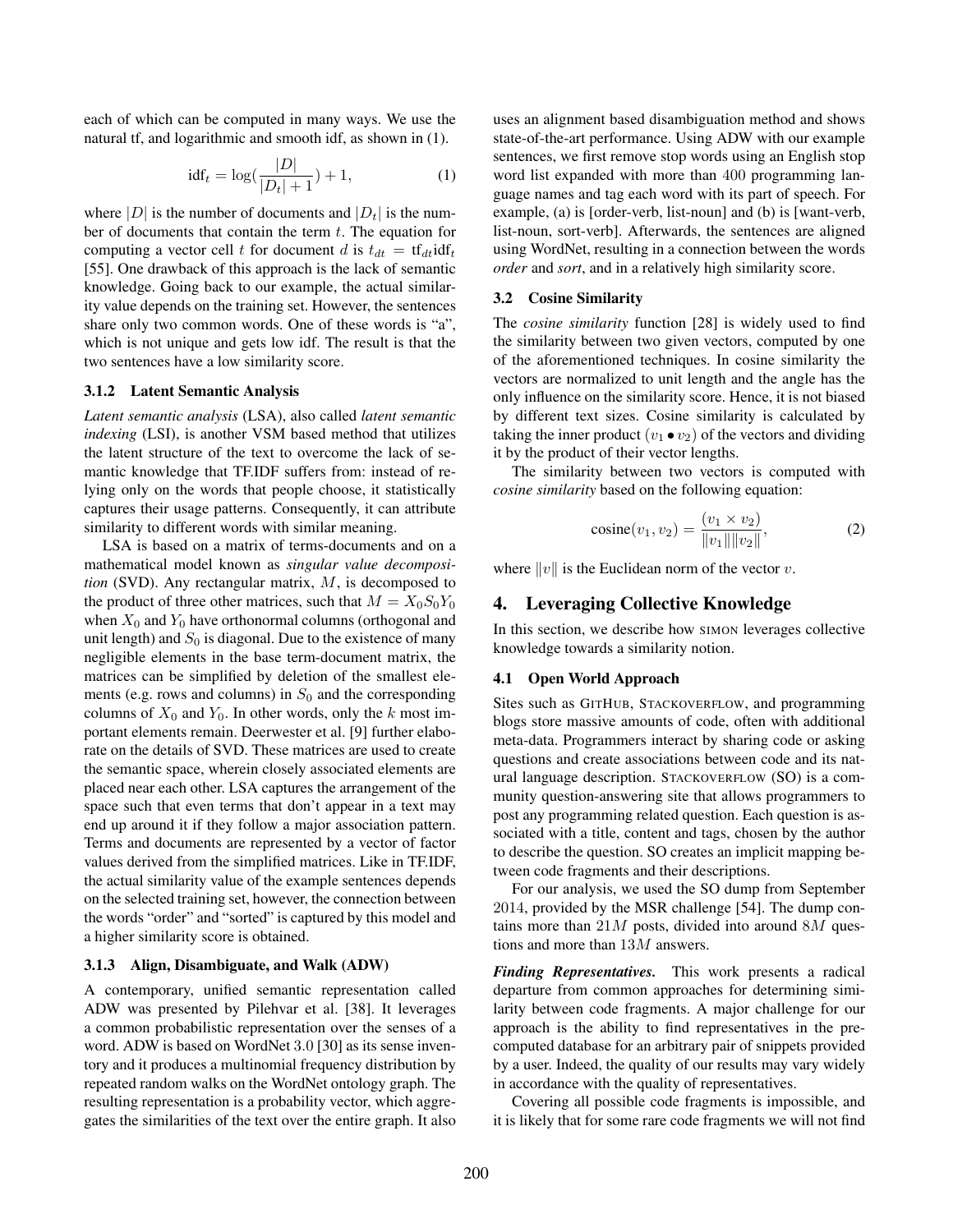each of which can be computed in many ways. We use the natural tf, and logarithmic and smooth idf, as shown in [\(1\).](#page-3-0)

<span id="page-3-0"></span>
$$
idf_t = \log(\frac{|D|}{|D_t| + 1}) + 1,
$$
\n(1)

where  $|D|$  is the number of documents and  $|D_t|$  is the number of documents that contain the term  $t$ . The equation for computing a vector cell t for document d is  $t_{dt} = tf_{dt} \text{ id}f_t$ [\[55\]](#page-14-6). One drawback of this approach is the lack of semantic knowledge. Going back to our example, the actual similarity value depends on the training set. However, the sentences share only two common words. One of these words is "a", which is not unique and gets low idf. The result is that the two sentences have a low similarity score.

#### <span id="page-3-1"></span>3.1.2 Latent Semantic Analysis

*Latent semantic analysis* (LSA), also called *latent semantic indexing* (LSI), is another VSM based method that utilizes the latent structure of the text to overcome the lack of semantic knowledge that TF.IDF suffers from: instead of relying only on the words that people choose, it statistically captures their usage patterns. Consequently, it can attribute similarity to different words with similar meaning.

LSA is based on a matrix of terms-documents and on a mathematical model known as *singular value decomposition* (SVD). Any rectangular matrix, M, is decomposed to the product of three other matrices, such that  $M = X_0S_0Y_0$ when  $X_0$  and  $Y_0$  have orthonormal columns (orthogonal and unit length) and  $S_0$  is diagonal. Due to the existence of many negligible elements in the base term-document matrix, the matrices can be simplified by deletion of the smallest elements (e.g. rows and columns) in  $S_0$  and the corresponding columns of  $X_0$  and  $Y_0$ . In other words, only the k most important elements remain. Deerwester et al. [\[9\]](#page-13-8) further elaborate on the details of SVD. These matrices are used to create the semantic space, wherein closely associated elements are placed near each other. LSA captures the arrangement of the space such that even terms that don't appear in a text may end up around it if they follow a major association pattern. Terms and documents are represented by a vector of factor values derived from the simplified matrices. Like in TF.IDF, the actual similarity value of the example sentences depends on the selected training set, however, the connection between the words "order" and "sorted" is captured by this model and a higher similarity score is obtained.

## 3.1.3 Align, Disambiguate, and Walk (ADW)

A contemporary, unified semantic representation called ADW was presented by Pilehvar et al. [\[38\]](#page-14-7). It leverages a common probabilistic representation over the senses of a word. ADW is based on WordNet 3.0 [\[30\]](#page-13-9) as its sense inventory and it produces a multinomial frequency distribution by repeated random walks on the WordNet ontology graph. The resulting representation is a probability vector, which aggregates the similarities of the text over the entire graph. It also uses an alignment based disambiguation method and shows state-of-the-art performance. Using ADW with our example sentences, we first remove stop words using an English stop word list expanded with more than 400 programming language names and tag each word with its part of speech. For example, (a) is [order-verb, list-noun] and (b) is [want-verb, list-noun, sort-verb]. Afterwards, the sentences are aligned using WordNet, resulting in a connection between the words *order* and *sort*, and in a relatively high similarity score.

#### 3.2 Cosine Similarity

The *cosine similarity* function [\[28\]](#page-13-10) is widely used to find the similarity between two given vectors, computed by one of the aforementioned techniques. In cosine similarity the vectors are normalized to unit length and the angle has the only influence on the similarity score. Hence, it is not biased by different text sizes. Cosine similarity is calculated by taking the inner product  $(v_1 \bullet v_2)$  of the vectors and dividing it by the product of their vector lengths.

The similarity between two vectors is computed with *cosine similarity* based on the following equation:

$$
cosine(v_1, v_2) = \frac{(v_1 \times v_2)}{\|v_1\| \|v_2\|},
$$
\n(2)

where  $||v||$  is the Euclidean norm of the vector v.

## 4. Leveraging Collective Knowledge

In this section, we describe how SIMON leverages collective knowledge towards a similarity notion.

## <span id="page-3-2"></span>4.1 Open World Approach

Sites such as GITHUB, STACKOVERFLOW, and programming blogs store massive amounts of code, often with additional meta-data. Programmers interact by sharing code or asking questions and create associations between code and its natural language description. STACKOVERFLOW (SO) is a community question-answering site that allows programmers to post any programming related question. Each question is associated with a title, content and tags, chosen by the author to describe the question. SO creates an implicit mapping between code fragments and their descriptions.

For our analysis, we used the SO dump from September 2014, provided by the MSR challenge [\[54\]](#page-14-8). The dump contains more than 21 $M$  posts, divided into around 8 $M$  questions and more than 13M answers.

*Finding Representatives.* This work presents a radical departure from common approaches for determining similarity between code fragments. A major challenge for our approach is the ability to find representatives in the precomputed database for an arbitrary pair of snippets provided by a user. Indeed, the quality of our results may vary widely in accordance with the quality of representatives.

Covering all possible code fragments is impossible, and it is likely that for some rare code fragments we will not find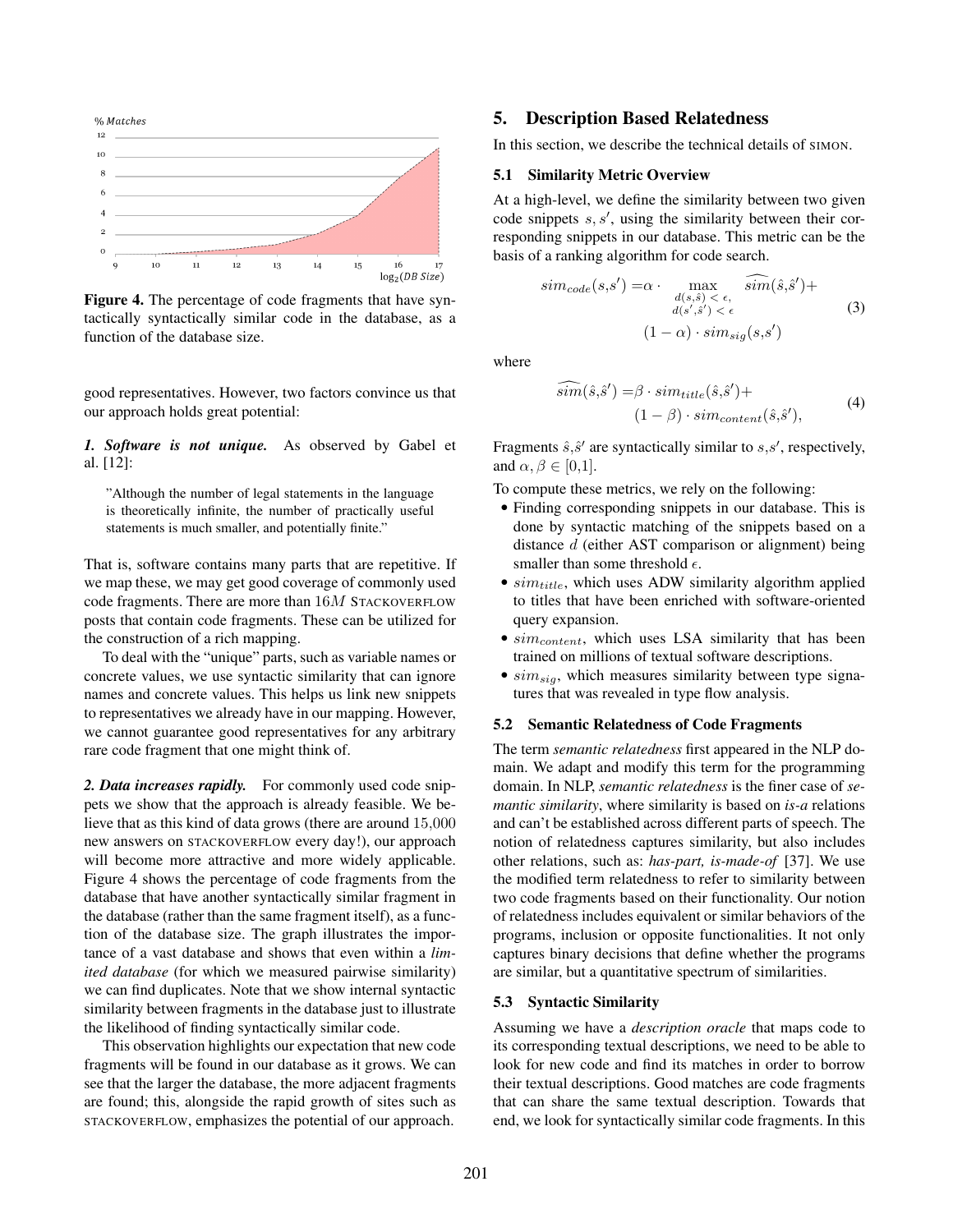<span id="page-4-0"></span>

Figure 4. The percentage of code fragments that have syntactically syntactically similar code in the database, as a function of the database size.

good representatives. However, two factors convince us that our approach holds great potential:

*1. Software is not unique.* As observed by Gabel et al. [\[12\]](#page-13-11):

"Although the number of legal statements in the language is theoretically infinite, the number of practically useful statements is much smaller, and potentially finite."

That is, software contains many parts that are repetitive. If we map these, we may get good coverage of commonly used code fragments. There are more than 16M STACKOVERFLOW posts that contain code fragments. These can be utilized for the construction of a rich mapping.

To deal with the "unique" parts, such as variable names or concrete values, we use syntactic similarity that can ignore names and concrete values. This helps us link new snippets to representatives we already have in our mapping. However, we cannot guarantee good representatives for any arbitrary rare code fragment that one might think of.

*2. Data increases rapidly.* For commonly used code snippets we show that the approach is already feasible. We believe that as this kind of data grows (there are around 15,000 new answers on STACKOVERFLOW every day!), our approach will become more attractive and more widely applicable. [Figure 4](#page-4-0) shows the percentage of code fragments from the database that have another syntactically similar fragment in the database (rather than the same fragment itself), as a function of the database size. The graph illustrates the importance of a vast database and shows that even within a *limited database* (for which we measured pairwise similarity) we can find duplicates. Note that we show internal syntactic similarity between fragments in the database just to illustrate the likelihood of finding syntactically similar code.

This observation highlights our expectation that new code fragments will be found in our database as it grows. We can see that the larger the database, the more adjacent fragments are found; this, alongside the rapid growth of sites such as STACKOVERFLOW, emphasizes the potential of our approach.

# 5. Description Based Relatedness

In this section, we describe the technical details of SIMON.

#### 5.1 Similarity Metric Overview

At a high-level, we define the similarity between two given code snippets  $s, s'$ , using the similarity between their corresponding snippets in our database. This metric can be the basis of a ranking algorithm for code search.

$$
sim_{code}(s,s') = \alpha \cdot \max_{\substack{d(s,\hat{s}) < \epsilon, \\ d(s',\hat{s}') < \epsilon}} \widehat{sim}(\hat{s},\hat{s}') + \tag{3}
$$
\n
$$
(1-\alpha) \cdot \operatorname{sim}_{sig}(s,s')
$$

where

$$
\overline{sim}(\hat{s}, \hat{s}') = \beta \cdot sim_{title}(\hat{s}, \hat{s}') +
$$
  
(1 - \beta) \cdot sim\_{content}(\hat{s}, \hat{s}'), (4)

Fragments  $\hat{s}, \hat{s}'$  are syntactically similar to  $s, s'$ , respectively, and  $\alpha, \beta \in [0,1]$ .

To compute these metrics, we rely on the following:

- Finding corresponding snippets in our database. This is done by syntactic matching of the snippets based on a distance d (either AST comparison or alignment) being smaller than some threshold  $\epsilon$ .
- $sim_{title}$ , which uses ADW similarity algorithm applied to titles that have been enriched with software-oriented query expansion.
- $sim_{content}$ , which uses LSA similarity that has been trained on millions of textual software descriptions.
- $sim_{sia}$ , which measures similarity between type signatures that was revealed in type flow analysis.

#### 5.2 Semantic Relatedness of Code Fragments

The term *semantic relatedness* first appeared in the NLP domain. We adapt and modify this term for the programming domain. In NLP, *semantic relatedness* is the finer case of *semantic similarity*, where similarity is based on *is-a* relations and can't be established across different parts of speech. The notion of relatedness captures similarity, but also includes other relations, such as: *has-part, is-made-of* [\[37\]](#page-14-9). We use the modified term relatedness to refer to similarity between two code fragments based on their functionality. Our notion of relatedness includes equivalent or similar behaviors of the programs, inclusion or opposite functionalities. It not only captures binary decisions that define whether the programs are similar, but a quantitative spectrum of similarities.

## <span id="page-4-1"></span>5.3 Syntactic Similarity

Assuming we have a *description oracle* that maps code to its corresponding textual descriptions, we need to be able to look for new code and find its matches in order to borrow their textual descriptions. Good matches are code fragments that can share the same textual description. Towards that end, we look for syntactically similar code fragments. In this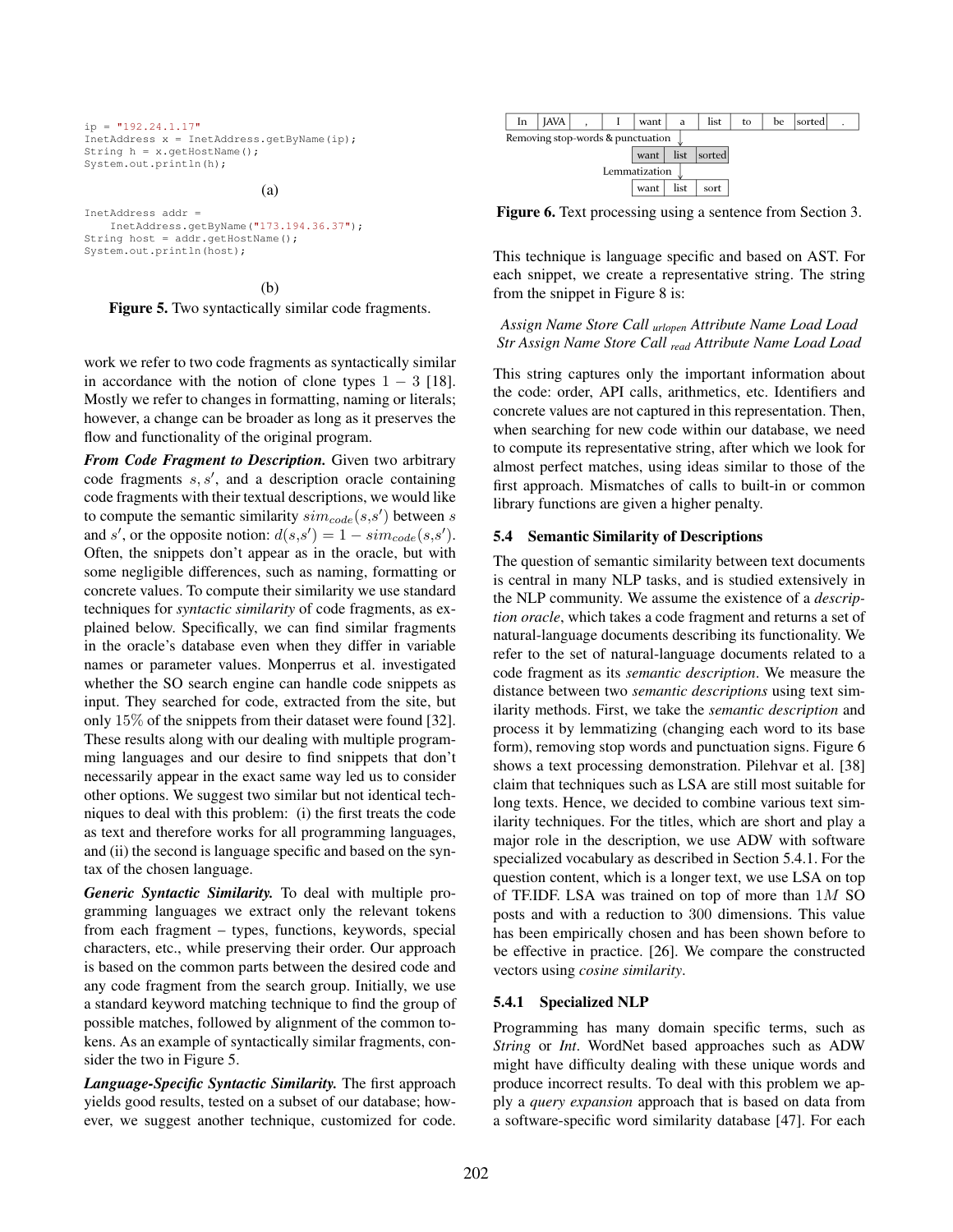<span id="page-5-1"></span>ip = "192.24.1.17" InetAddress x = InetAddress.getByName(ip); String h = x.getHostName(); System.out.println(h);

#### (a)

InetAddress addr = InetAddress.getByName("173.194.36.37"); String host = addr.getHostName(); System.out.println(host);



work we refer to two code fragments as syntactically similar in accordance with the notion of clone types  $1 - 3$  [\[18\]](#page-13-12). Mostly we refer to changes in formatting, naming or literals; however, a change can be broader as long as it preserves the flow and functionality of the original program.

*From Code Fragment to Description.* Given two arbitrary code fragments  $s, s'$ , and a description oracle containing code fragments with their textual descriptions, we would like to compute the semantic similarity  $\mathit{sim}_{code}(s, s')$  between s and s', or the opposite notion:  $d(s,s') = 1 - sim_{code}(s,s')$ . Often, the snippets don't appear as in the oracle, but with some negligible differences, such as naming, formatting or concrete values. To compute their similarity we use standard techniques for *syntactic similarity* of code fragments, as explained below. Specifically, we can find similar fragments in the oracle's database even when they differ in variable names or parameter values. Monperrus et al. investigated whether the SO search engine can handle code snippets as input. They searched for code, extracted from the site, but only 15% of the snippets from their dataset were found [\[32\]](#page-13-13). These results along with our dealing with multiple programming languages and our desire to find snippets that don't necessarily appear in the exact same way led us to consider other options. We suggest two similar but not identical techniques to deal with this problem: (i) the first treats the code as text and therefore works for all programming languages, and (ii) the second is language specific and based on the syntax of the chosen language.

*Generic Syntactic Similarity.* To deal with multiple programming languages we extract only the relevant tokens from each fragment – types, functions, keywords, special characters, etc., while preserving their order. Our approach is based on the common parts between the desired code and any code fragment from the search group. Initially, we use a standard keyword matching technique to find the group of possible matches, followed by alignment of the common tokens. As an example of syntactically similar fragments, consider the two in [Figure 5.](#page-5-1)

*Language-Specific Syntactic Similarity.* The first approach yields good results, tested on a subset of our database; however, we suggest another technique, customized for code.

<span id="page-5-2"></span>

Figure 6. Text processing using a sentence from [Section 3.](#page-2-3)

This technique is language specific and based on AST. For each snippet, we create a representative string. The string from the snippet in [Figure 8](#page-6-1) is:

# *Assign Name Store Call urlopen Attribute Name Load Load Str Assign Name Store Call read Attribute Name Load Load*

This string captures only the important information about the code: order, API calls, arithmetics, etc. Identifiers and concrete values are not captured in this representation. Then, when searching for new code within our database, we need to compute its representative string, after which we look for almost perfect matches, using ideas similar to those of the first approach. Mismatches of calls to built-in or common library functions are given a higher penalty.

## <span id="page-5-0"></span>5.4 Semantic Similarity of Descriptions

The question of semantic similarity between text documents is central in many NLP tasks, and is studied extensively in the NLP community. We assume the existence of a *description oracle*, which takes a code fragment and returns a set of natural-language documents describing its functionality. We refer to the set of natural-language documents related to a code fragment as its *semantic description*. We measure the distance between two *semantic descriptions* using text similarity methods. First, we take the *semantic description* and process it by lemmatizing (changing each word to its base form), removing stop words and punctuation signs. [Figure 6](#page-5-2) shows a text processing demonstration. Pilehvar et al. [\[38\]](#page-14-7) claim that techniques such as LSA are still most suitable for long texts. Hence, we decided to combine various text similarity techniques. For the titles, which are short and play a major role in the description, we use ADW with software specialized vocabulary as described in [Section 5.4.1.](#page-5-3) For the question content, which is a longer text, we use LSA on top of TF.IDF. LSA was trained on top of more than 1M SO posts and with a reduction to 300 dimensions. This value has been empirically chosen and has been shown before to be effective in practice. [\[26\]](#page-13-14). We compare the constructed vectors using *cosine similarity*.

## <span id="page-5-3"></span>5.4.1 Specialized NLP

Programming has many domain specific terms, such as *String* or *Int*. WordNet based approaches such as ADW might have difficulty dealing with these unique words and produce incorrect results. To deal with this problem we apply a *query expansion* approach that is based on data from a software-specific word similarity database [\[47\]](#page-14-10). For each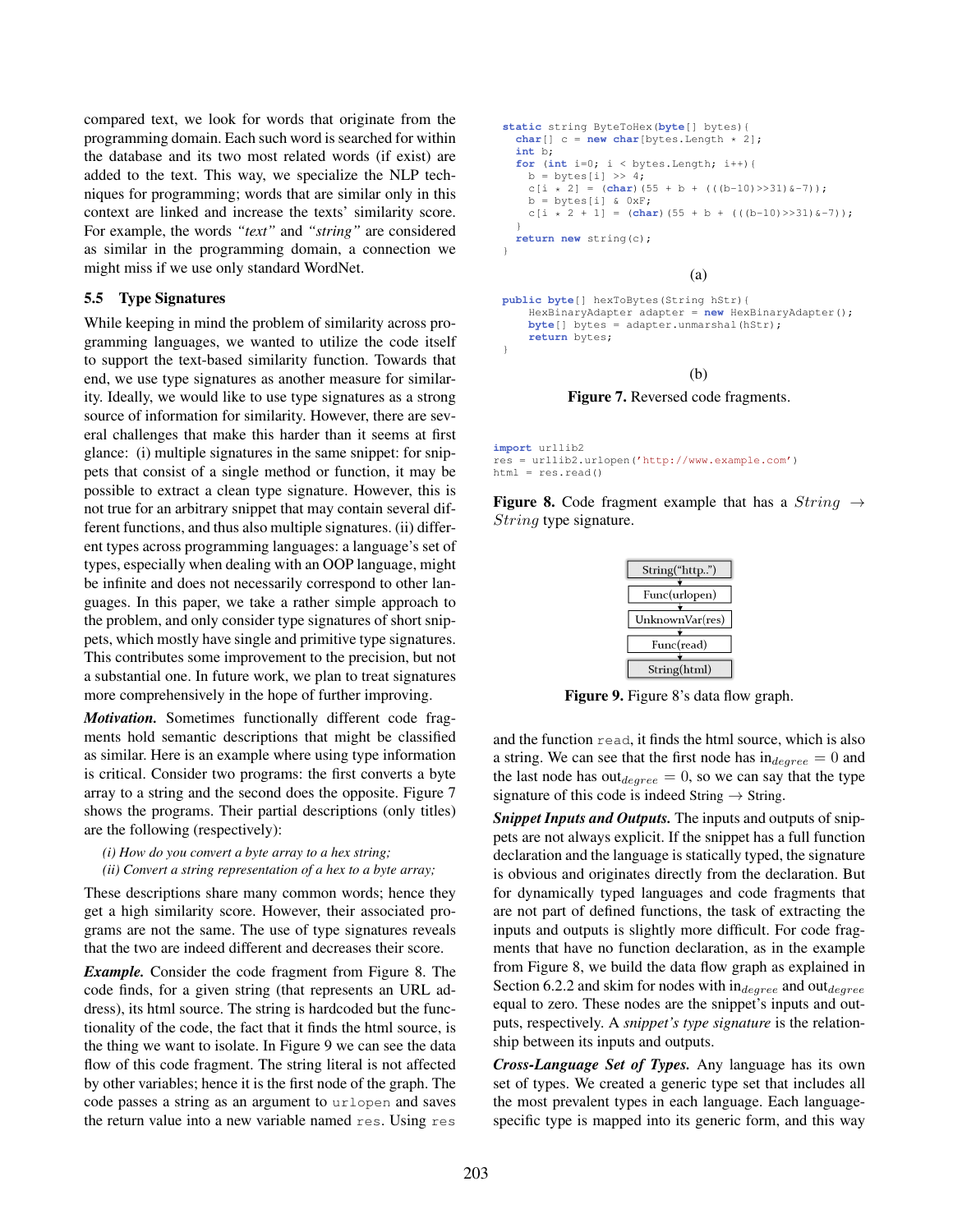compared text, we look for words that originate from the programming domain. Each such word is searched for within the database and its two most related words (if exist) are added to the text. This way, we specialize the NLP techniques for programming; words that are similar only in this context are linked and increase the texts' similarity score. For example, the words *"text"* and *"string"* are considered as similar in the programming domain, a connection we might miss if we use only standard WordNet.

## <span id="page-6-0"></span>5.5 Type Signatures

While keeping in mind the problem of similarity across programming languages, we wanted to utilize the code itself to support the text-based similarity function. Towards that end, we use type signatures as another measure for similarity. Ideally, we would like to use type signatures as a strong source of information for similarity. However, there are several challenges that make this harder than it seems at first glance: (i) multiple signatures in the same snippet: for snippets that consist of a single method or function, it may be possible to extract a clean type signature. However, this is not true for an arbitrary snippet that may contain several different functions, and thus also multiple signatures. (ii) different types across programming languages: a language's set of types, especially when dealing with an OOP language, might be infinite and does not necessarily correspond to other languages. In this paper, we take a rather simple approach to the problem, and only consider type signatures of short snippets, which mostly have single and primitive type signatures. This contributes some improvement to the precision, but not a substantial one. In future work, we plan to treat signatures more comprehensively in the hope of further improving.

*Motivation.* Sometimes functionally different code fragments hold semantic descriptions that might be classified as similar. Here is an example where using type information is critical. Consider two programs: the first converts a byte array to a string and the second does the opposite. [Figure 7](#page-6-2) shows the programs. Their partial descriptions (only titles) are the following (respectively):

- *(i) How do you convert a byte array to a hex string;*
- *(ii) Convert a string representation of a hex to a byte array;*

These descriptions share many common words; hence they get a high similarity score. However, their associated programs are not the same. The use of type signatures reveals that the two are indeed different and decreases their score.

*Example.* Consider the code fragment from [Figure 8.](#page-6-1) The code finds, for a given string (that represents an URL address), its html source. The string is hardcoded but the functionality of the code, the fact that it finds the html source, is the thing we want to isolate. In [Figure 9](#page-6-3) we can see the data flow of this code fragment. The string literal is not affected by other variables; hence it is the first node of the graph. The code passes a string as an argument to urlopen and saves the return value into a new variable named res. Using res

```
static string ByteToHex(byte[] bytes){
  char[] c = new char[bytes.Length * 2];
  int b;
  for (int i=0; i < bytes.length; i++){
    b = bytes[i] \rightarrow 4;c[i \star 2] = (char)(55 + b + (((b-10)>>31)&-7));
    b = bytes[i] & 0xF;c[i \star 2 + 1] = (char)(55 + b + (((b-10)>>31)&-7));
  }
 return new string(c);
}
```
(a)

```
public byte[] hexToBytes(String hStr){
   HexBinaryAdapter adapter = new HexBinaryAdapter();
   byte[] bytes = adapter.unmarshal(hStr);
   return bytes;
}
```
(b)

Figure 7. Reversed code fragments.

```
import urllib2
res = urllib2.urlopen('http://www.example.com')
html = res.read()
```
<span id="page-6-3"></span>**Figure 8.** Code fragment example that has a  $String \rightarrow$ String type signature.

| String("http")  |  |  |  |  |
|-----------------|--|--|--|--|
|                 |  |  |  |  |
| Func(urlopen)   |  |  |  |  |
|                 |  |  |  |  |
| UnknownVar(res) |  |  |  |  |
|                 |  |  |  |  |
| Func(read)      |  |  |  |  |
|                 |  |  |  |  |
| String(html)    |  |  |  |  |

Figure 9. [Figure 8'](#page-6-1)s data flow graph.

and the function read, it finds the html source, which is also a string. We can see that the first node has  $in_{degree} = 0$  and the last node has  $out_{degree} = 0$ , so we can say that the type signature of this code is indeed String  $\rightarrow$  String.

*Snippet Inputs and Outputs.* The inputs and outputs of snippets are not always explicit. If the snippet has a full function declaration and the language is statically typed, the signature is obvious and originates directly from the declaration. But for dynamically typed languages and code fragments that are not part of defined functions, the task of extracting the inputs and outputs is slightly more difficult. For code fragments that have no function declaration, as in the example from [Figure 8,](#page-6-1) we build the data flow graph as explained in [Section 6.2.2](#page-8-0) and skim for nodes with in $_{degree}$  and out $_{degree}$ equal to zero. These nodes are the snippet's inputs and outputs, respectively. A *snippet's type signature* is the relationship between its inputs and outputs.

*Cross-Language Set of Types.* Any language has its own set of types. We created a generic type set that includes all the most prevalent types in each language. Each languagespecific type is mapped into its generic form, and this way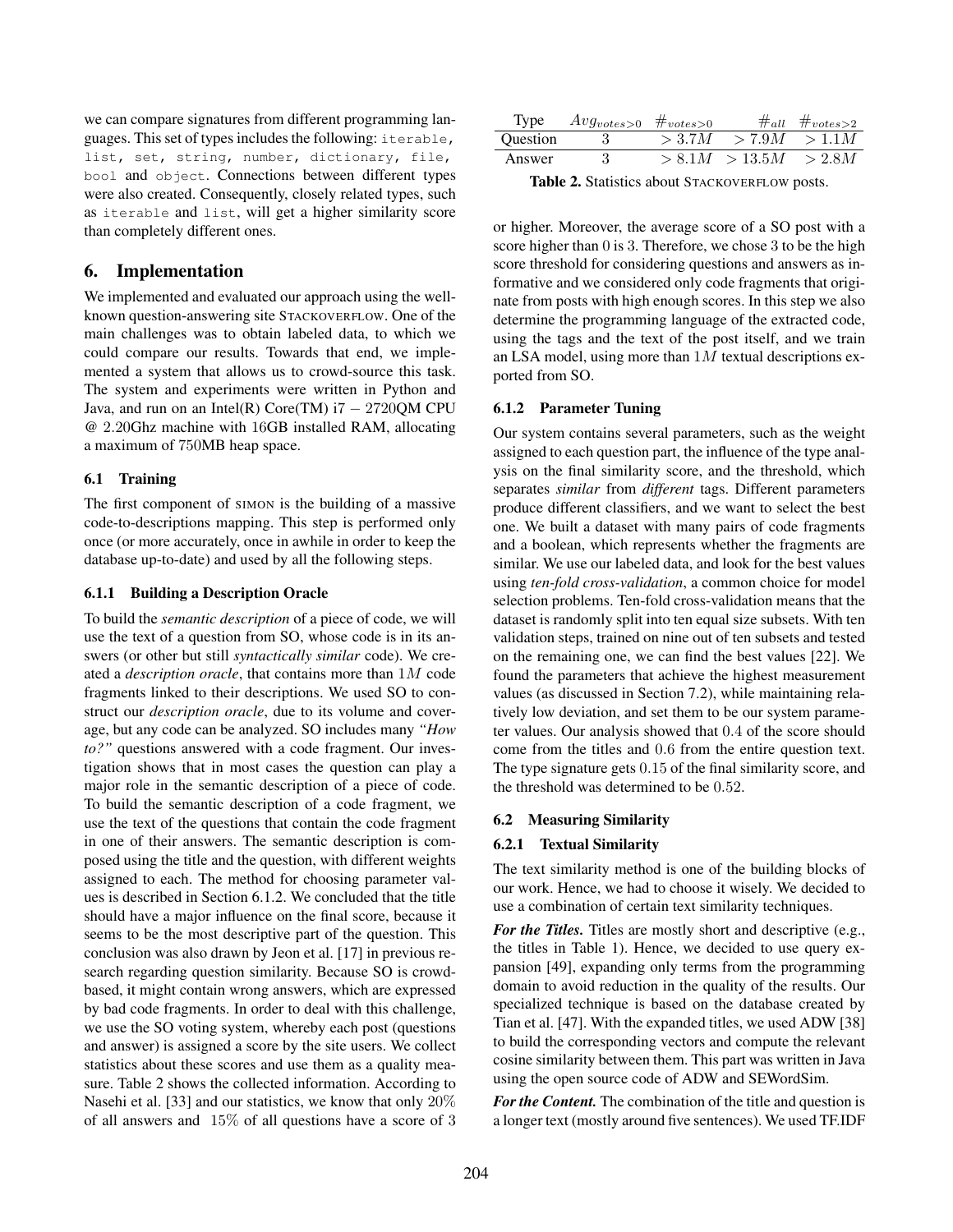we can compare signatures from different programming languages. This set of types includes the following: iterable, list, set, string, number, dictionary, file, bool and object. Connections between different types were also created. Consequently, closely related types, such as iterable and list, will get a higher similarity score than completely different ones.

# 6. Implementation

We implemented and evaluated our approach using the wellknown question-answering site STACKOVERFLOW. One of the main challenges was to obtain labeled data, to which we could compare our results. Towards that end, we implemented a system that allows us to crowd-source this task. The system and experiments were written in Python and Java, and run on an Intel(R) Core(TM) i7  $- 2720$ QM CPU @ 2.20Ghz machine with 16GB installed RAM, allocating a maximum of 750MB heap space.

## 6.1 Training

The first component of SIMON is the building of a massive code-to-descriptions mapping. This step is performed only once (or more accurately, once in awhile in order to keep the database up-to-date) and used by all the following steps.

#### <span id="page-7-0"></span>6.1.1 Building a Description Oracle

To build the *semantic description* of a piece of code, we will use the text of a question from SO, whose code is in its answers (or other but still *syntactically similar* code). We created a *description oracle*, that contains more than 1M code fragments linked to their descriptions. We used SO to construct our *description oracle*, due to its volume and coverage, but any code can be analyzed. SO includes many *"How to?"* questions answered with a code fragment. Our investigation shows that in most cases the question can play a major role in the semantic description of a piece of code. To build the semantic description of a code fragment, we use the text of the questions that contain the code fragment in one of their answers. The semantic description is composed using the title and the question, with different weights assigned to each. The method for choosing parameter values is described in [Section 6.1.2.](#page-7-1) We concluded that the title should have a major influence on the final score, because it seems to be the most descriptive part of the question. This conclusion was also drawn by Jeon et al. [\[17\]](#page-13-15) in previous research regarding question similarity. Because SO is crowdbased, it might contain wrong answers, which are expressed by bad code fragments. In order to deal with this challenge, we use the SO voting system, whereby each post (questions and answer) is assigned a score by the site users. We collect statistics about these scores and use them as a quality measure. [Table 2](#page-7-2) shows the collected information. According to Nasehi et al. [\[33\]](#page-13-16) and our statistics, we know that only 20% of all answers and 15% of all questions have a score of 3

<span id="page-7-2"></span>

| Type     | $Avg_{votes>0}$ $#_{votes>0}$ |          |                       | $\#_{all}$ $\#_{votes > 2}$ |
|----------|-------------------------------|----------|-----------------------|-----------------------------|
| Ouestion | $\mathbf{3}$                  | $>$ 3.7M | > 7.9M > 1.1M         |                             |
| Answer   | $\mathcal{S}$                 |          | > 8.1M > 13.5M > 2.8M |                             |

Table 2. Statistics about STACKOVERFLOW posts.

or higher. Moreover, the average score of a SO post with a score higher than 0 is 3. Therefore, we chose 3 to be the high score threshold for considering questions and answers as informative and we considered only code fragments that originate from posts with high enough scores. In this step we also determine the programming language of the extracted code, using the tags and the text of the post itself, and we train an LSA model, using more than  $1M$  textual descriptions exported from SO.

## <span id="page-7-1"></span>6.1.2 Parameter Tuning

Our system contains several parameters, such as the weight assigned to each question part, the influence of the type analysis on the final similarity score, and the threshold, which separates *similar* from *different* tags. Different parameters produce different classifiers, and we want to select the best one. We built a dataset with many pairs of code fragments and a boolean, which represents whether the fragments are similar. We use our labeled data, and look for the best values using *ten-fold cross-validation*, a common choice for model selection problems. Ten-fold cross-validation means that the dataset is randomly split into ten equal size subsets. With ten validation steps, trained on nine out of ten subsets and tested on the remaining one, we can find the best values [\[22\]](#page-13-17). We found the parameters that achieve the highest measurement values (as discussed in [Section 7.2\)](#page-8-1), while maintaining relatively low deviation, and set them to be our system parameter values. Our analysis showed that 0.4 of the score should come from the titles and 0.6 from the entire question text. The type signature gets 0.15 of the final similarity score, and the threshold was determined to be 0.52.

## 6.2 Measuring Similarity

#### 6.2.1 Textual Similarity

The text similarity method is one of the building blocks of our work. Hence, we had to choose it wisely. We decided to use a combination of certain text similarity techniques.

*For the Titles.* Titles are mostly short and descriptive (e.g., the titles in [Table 1\)](#page-2-2). Hence, we decided to use query expansion [\[49\]](#page-14-11), expanding only terms from the programming domain to avoid reduction in the quality of the results. Our specialized technique is based on the database created by Tian et al. [\[47\]](#page-14-10). With the expanded titles, we used ADW [\[38\]](#page-14-7) to build the corresponding vectors and compute the relevant cosine similarity between them. This part was written in Java using the open source code of [ADW](https://github.com/pilehvar/ADW) and SEWordSim.

*For the Content.* The combination of the title and question is a longer text (mostly around five sentences). We used TF.IDF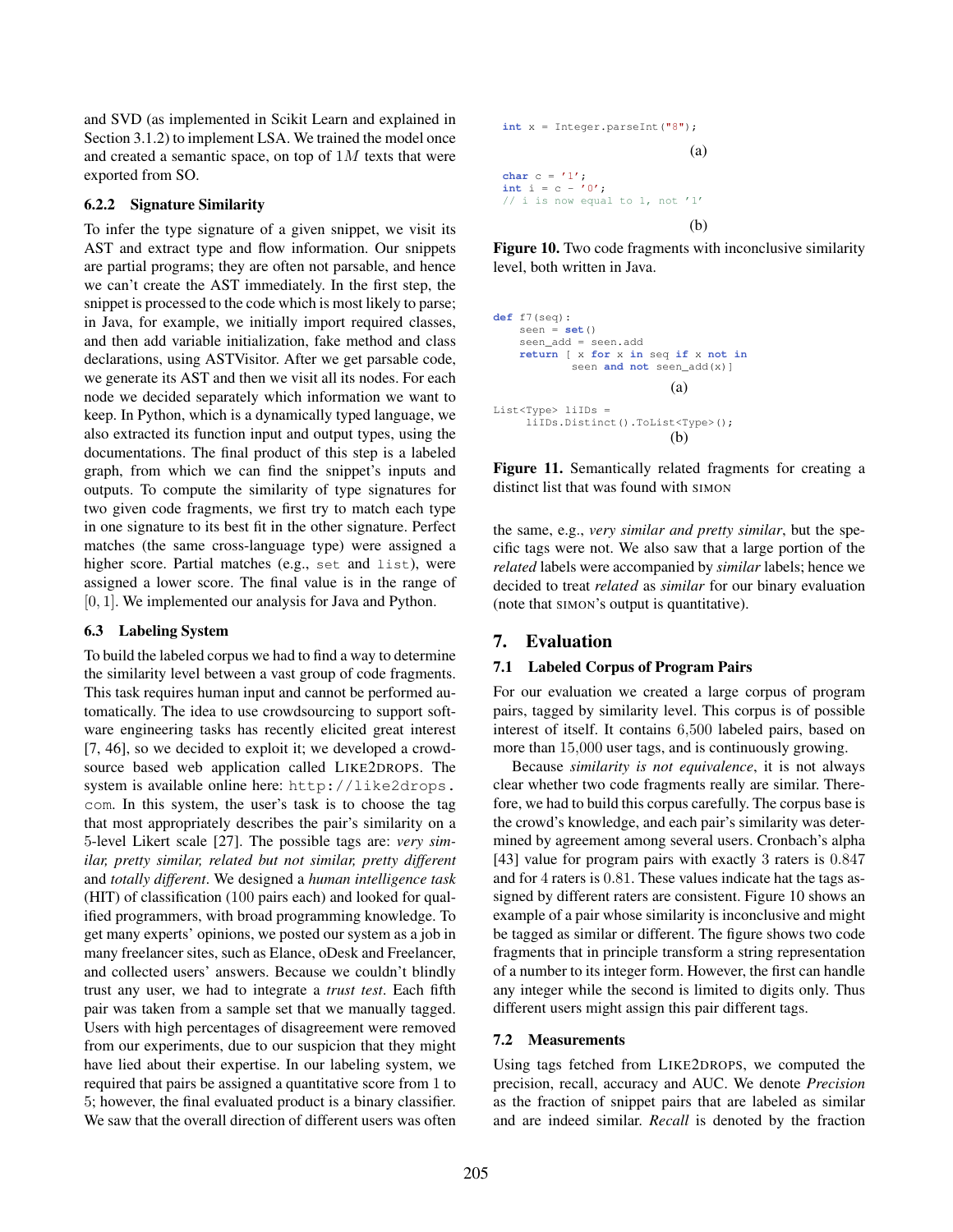and SVD (as implemented in [Scikit Learn](http://scikit-learn.org/stable/) and explained in [Section 3.1.2\)](#page-3-1) to implement LSA. We trained the model once and created a semantic space, on top of  $1M$  texts that were exported from SO.

## <span id="page-8-0"></span>6.2.2 Signature Similarity

To infer the type signature of a given snippet, we visit its AST and extract type and flow information. Our snippets are partial programs; they are often not parsable, and hence we can't create the AST immediately. In the first step, the snippet is processed to the code which is most likely to parse; in Java, for example, we initially import required classes, and then add variable initialization, fake method and class declarations, using ASTVisitor. After we get parsable code, we generate its AST and then we visit all its nodes. For each node we decided separately which information we want to keep. In Python, which is a dynamically typed language, we also extracted its function input and output types, using the documentations. The final product of this step is a labeled graph, from which we can find the snippet's inputs and outputs. To compute the similarity of type signatures for two given code fragments, we first try to match each type in one signature to its best fit in the other signature. Perfect matches (the same cross-language type) were assigned a higher score. Partial matches (e.g., set and list), were assigned a lower score. The final value is in the range of [0, 1]. We implemented our analysis for Java and Python.

# 6.3 Labeling System

To build the labeled corpus we had to find a way to determine the similarity level between a vast group of code fragments. This task requires human input and cannot be performed automatically. The idea to use crowdsourcing to support software engineering tasks has recently elicited great interest [\[7,](#page-13-18) [46\]](#page-14-12), so we decided to exploit it; we developed a crowdsource based web application called LIKE2DROPS. The system is available online here: [http://like2drops.](http://like2drops.com) [com](http://like2drops.com). In this system, the user's task is to choose the tag that most appropriately describes the pair's similarity on a 5-level Likert scale [\[27\]](#page-13-19). The possible tags are: *very similar, pretty similar, related but not similar, pretty different* and *totally different*. We designed a *human intelligence task* (HIT) of classification (100 pairs each) and looked for qualified programmers, with broad programming knowledge. To get many experts' opinions, we posted our system as a job in many freelancer sites, such as Elance, oDesk and Freelancer, and collected users' answers. Because we couldn't blindly trust any user, we had to integrate a *trust test*. Each fifth pair was taken from a sample set that we manually tagged. Users with high percentages of disagreement were removed from our experiments, due to our suspicion that they might have lied about their expertise. In our labeling system, we required that pairs be assigned a quantitative score from 1 to 5; however, the final evaluated product is a binary classifier. We saw that the overall direction of different users was often

```
int x = Integer.parseInt("8");
                             (a)
char c = '1';
int i = c - '0';// i is now equal to 1, not '1'
                             (b)
```
Figure 10. Two code fragments with inconclusive similarity level, both written in Java.

```
def f7(seq):
    seen = set()
    seen_add = seen.add
    return [ x for x in seq if x not in
            seen and not seen_add(x)]
                            (a)
List<Type> liIDs =
     liIDs.Distinct().ToList<Type>();
                            (b)
```
Figure 11. Semantically related fragments for creating a distinct list that was found with SIMON

the same, e.g., *very similar and pretty similar*, but the specific tags were not. We also saw that a large portion of the *related* labels were accompanied by *similar* labels; hence we decided to treat *related* as *similar* for our binary evaluation (note that SIMON's output is quantitative).

# 7. Evaluation

## 7.1 Labeled Corpus of Program Pairs

For our evaluation we created a large corpus of program pairs, tagged by similarity level. This corpus is of possible interest of itself. It contains 6,500 labeled pairs, based on more than 15,000 user tags, and is continuously growing.

Because *similarity is not equivalence*, it is not always clear whether two code fragments really are similar. Therefore, we had to build this corpus carefully. The corpus base is the crowd's knowledge, and each pair's similarity was determined by agreement among several users. Cronbach's alpha [\[43\]](#page-14-13) value for program pairs with exactly 3 raters is 0.847 and for 4 raters is 0.81. These values indicate hat the tags assigned by different raters are consistent. [Figure 10](#page-8-2) shows an example of a pair whose similarity is inconclusive and might be tagged as similar or different. The figure shows two code fragments that in principle transform a string representation of a number to its integer form. However, the first can handle any integer while the second is limited to digits only. Thus different users might assign this pair different tags.

## <span id="page-8-1"></span>7.2 Measurements

Using tags fetched from LIKE2DROPS, we computed the precision, recall, accuracy and AUC. We denote *Precision* as the fraction of snippet pairs that are labeled as similar and are indeed similar. *Recall* is denoted by the fraction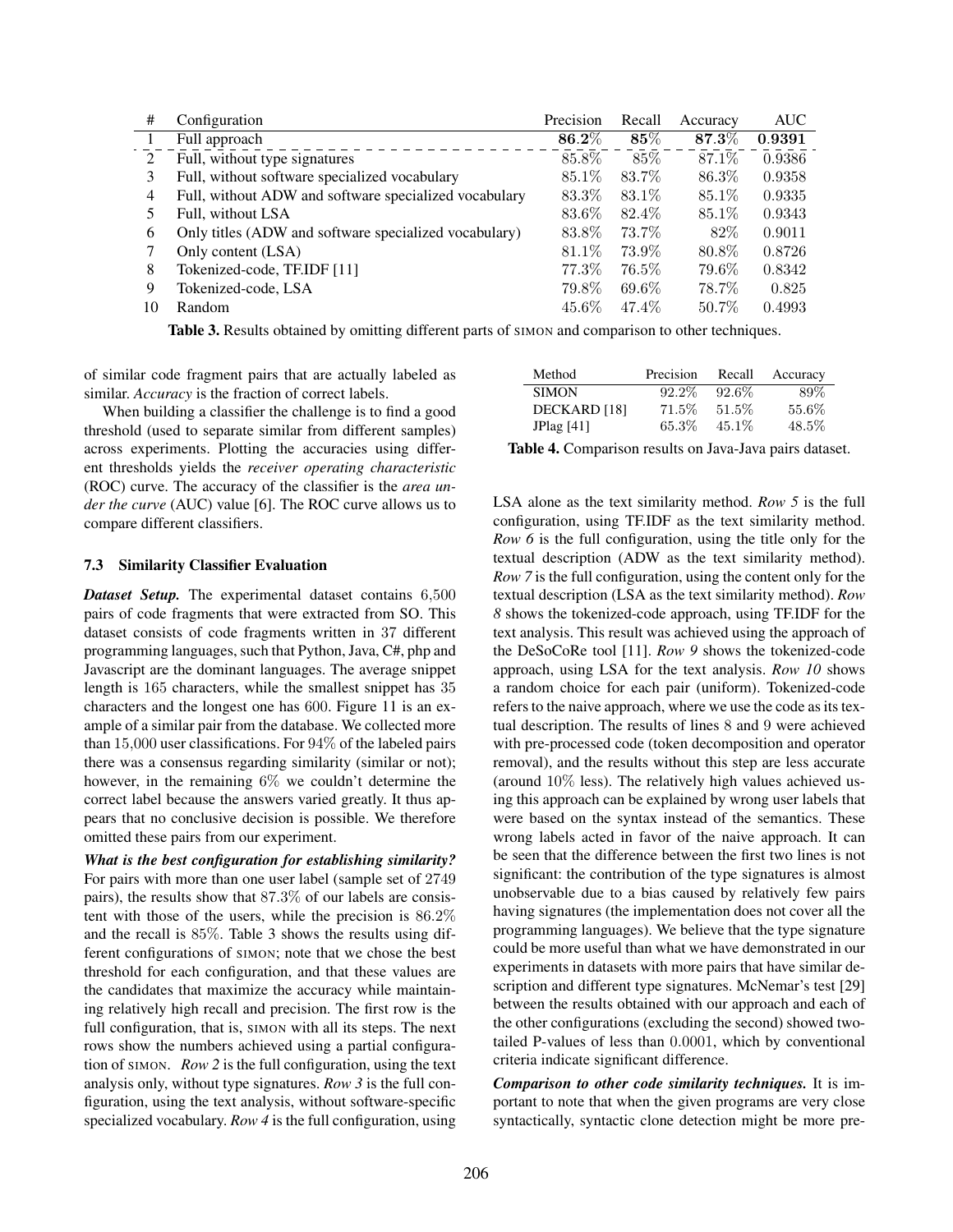<span id="page-9-0"></span>

| #  | Configuration                                         | Precision    | Recall          | Accuracy                     | <b>AUC</b> |
|----|-------------------------------------------------------|--------------|-----------------|------------------------------|------------|
|    | Full approach                                         | $\bf 86.2\%$ | $\mathbf{85}\%$ | $\overline{\textbf{87.3\%}}$ | 0.9391     |
| 2  | Full, without type signatures                         | 85.8%        | 85\%            | 87.1\%                       | 0.9386     |
| 3  | Full, without software specialized vocabulary         | 85.1\%       | 83.7%           | 86.3%                        | 0.9358     |
| 4  | Full, without ADW and software specialized vocabulary | 83.3%        | 83.1\%          | 85.1\%                       | 0.9335     |
| 5  | Full, without LSA                                     | 83.6%        | 82.4\%          | 85.1\%                       | 0.9343     |
| 6  | Only titles (ADW and software specialized vocabulary) | 83.8%        | 73.7%           | 82\%                         | 0.9011     |
|    | Only content (LSA)                                    | 81.1\%       | 73.9%           | 80.8%                        | 0.8726     |
| 8  | Tokenized-code, TF.IDF [11]                           | 77.3%        | 76.5%           | 79.6%                        | 0.8342     |
| 9  | Tokenized-code, LSA                                   | 79.8%        | $69.6\%$        | 78.7%                        | 0.825      |
| 10 | Random                                                | 45.6%        | 47.4%           | 50.7%                        | 0.4993     |

Table 3. Results obtained by omitting different parts of SIMON and comparison to other techniques.

of similar code fragment pairs that are actually labeled as similar. *Accuracy* is the fraction of correct labels.

When building a classifier the challenge is to find a good threshold (used to separate similar from different samples) across experiments. Plotting the accuracies using different thresholds yields the *receiver operating characteristic* (ROC) curve. The accuracy of the classifier is the *area under the curve* (AUC) value [\[6\]](#page-13-21). The ROC curve allows us to compare different classifiers.

#### 7.3 Similarity Classifier Evaluation

*Dataset Setup.* The experimental dataset contains 6,500 pairs of code fragments that were extracted from SO. This dataset consists of code fragments written in 37 different programming languages, such that Python, Java, C#, php and Javascript are the dominant languages. The average snippet length is 165 characters, while the smallest snippet has 35 characters and the longest one has 600. [Figure 11](#page-8-3) is an example of a similar pair from the database. We collected more than 15,000 user classifications. For 94% of the labeled pairs there was a consensus regarding similarity (similar or not); however, in the remaining 6% we couldn't determine the correct label because the answers varied greatly. It thus appears that no conclusive decision is possible. We therefore omitted these pairs from our experiment.

*What is the best configuration for establishing similarity?* For pairs with more than one user label (sample set of 2749 pairs), the results show that 87.3% of our labels are consistent with those of the users, while the precision is 86.2% and the recall is 85%. [Table 3](#page-9-0) shows the results using different configurations of SIMON; note that we chose the best threshold for each configuration, and that these values are the candidates that maximize the accuracy while maintaining relatively high recall and precision. The first row is the full configuration, that is, SIMON with all its steps. The next rows show the numbers achieved using a partial configuration of SIMON. *Row 2* is the full configuration, using the text analysis only, without type signatures. *Row 3* is the full configuration, using the text analysis, without software-specific specialized vocabulary. *Row 4* is the full configuration, using

<span id="page-9-1"></span>

| Method       | Precision | Recall   | Accuracy |
|--------------|-----------|----------|----------|
| <b>SIMON</b> | $92.2\%$  | $92.6\%$ | 89%      |
| DECKARD [18] | 71.5%     | 51.5%    | 55.6%    |
| JPlag $[41]$ | 65.3%     | $45.1\%$ | 48.5%    |

Table 4. Comparison results on Java-Java pairs dataset.

LSA alone as the text similarity method. *Row 5* is the full configuration, using TF.IDF as the text similarity method. *Row 6* is the full configuration, using the title only for the textual description (ADW as the text similarity method). *Row 7* is the full configuration, using the content only for the textual description (LSA as the text similarity method). *Row 8* shows the tokenized-code approach, using TF.IDF for the text analysis. This result was achieved using the approach of the DeSoCoRe tool [\[11\]](#page-13-20). *Row 9* shows the tokenized-code approach, using LSA for the text analysis. *Row 10* shows a random choice for each pair (uniform). Tokenized-code refers to the naive approach, where we use the code as its textual description. The results of lines 8 and 9 were achieved with pre-processed code (token decomposition and operator removal), and the results without this step are less accurate (around 10% less). The relatively high values achieved using this approach can be explained by wrong user labels that were based on the syntax instead of the semantics. These wrong labels acted in favor of the naive approach. It can be seen that the difference between the first two lines is not significant: the contribution of the type signatures is almost unobservable due to a bias caused by relatively few pairs having signatures (the implementation does not cover all the programming languages). We believe that the type signature could be more useful than what we have demonstrated in our experiments in datasets with more pairs that have similar de-scription and different type signatures. McNemar's test [\[29\]](#page-13-22) between the results obtained with our approach and each of the other configurations (excluding the second) showed twotailed P-values of less than 0.0001, which by conventional criteria indicate significant difference.

*Comparison to other code similarity techniques.* It is important to note that when the given programs are very close syntactically, syntactic clone detection might be more pre-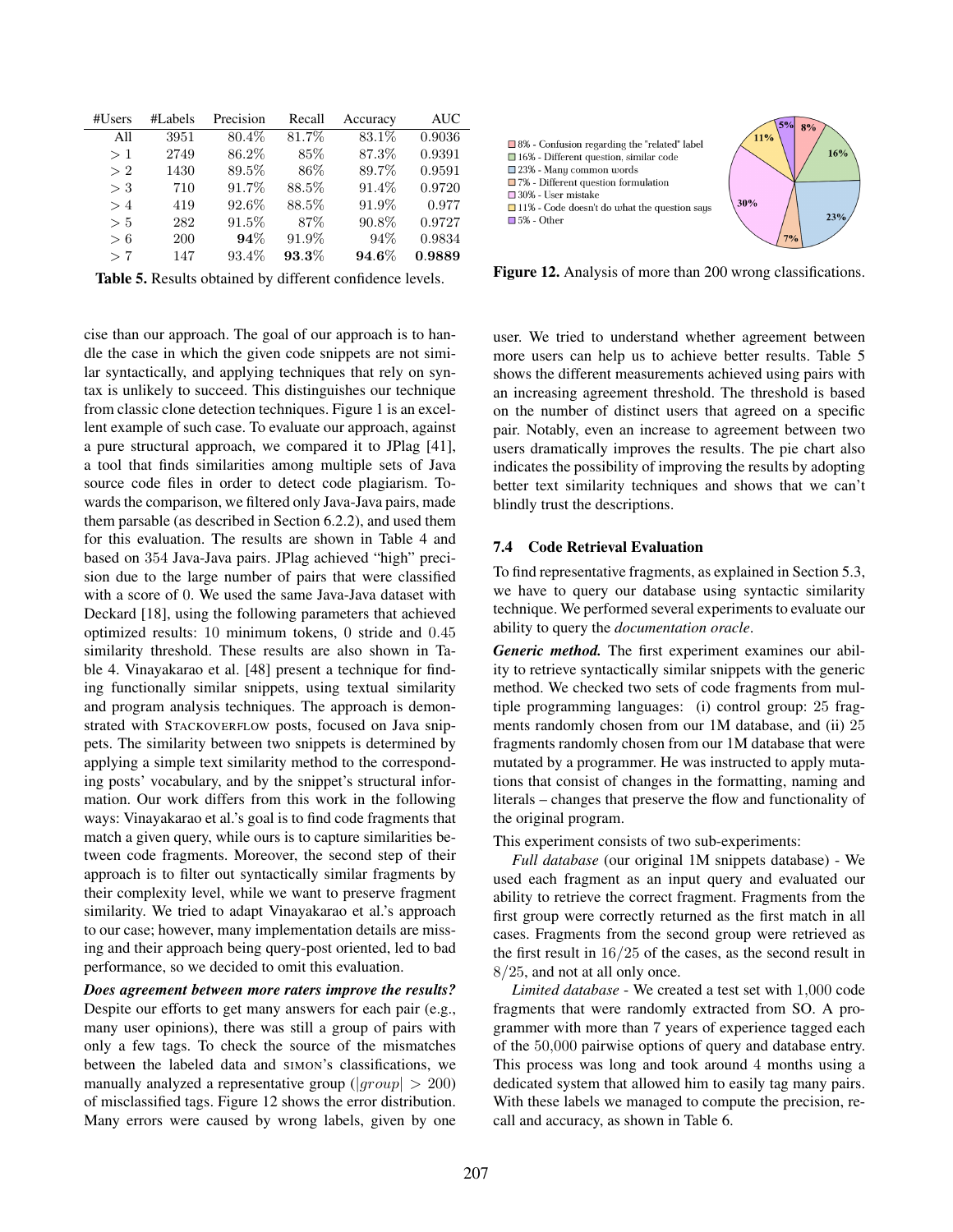<span id="page-10-1"></span>

| #Users | #Labels | Precision | Recall | Accuracy | <b>AUC</b> |
|--------|---------|-----------|--------|----------|------------|
| All    | 3951    | 80.4%     | 81.7%  | 83.1%    | 0.9036     |
| >1     | 2749    | 86.2%     | 85%    | 87.3%    | 0.9391     |
| > 2    | 1430    | 89.5%     | 86\%   | 89.7%    | 0.9591     |
| >3     | 710     | 91.7%     | 88.5%  | 91.4%    | 0.9720     |
| >4     | 419     | 92.6%     | 88.5%  | 91.9%    | 0.977      |
| > 5    | 282     | 91.5%     | 87\%   | 90.8%    | 0.9727     |
| > 6    | 200     | 94%       | 91.9%  | 94\%     | 0.9834     |
| >7     | 147     | 93.4%     | 93.3%  | $94.6\%$ | 0.9889     |

Table 5. Results obtained by different confidence levels.

cise than our approach. The goal of our approach is to handle the case in which the given code snippets are not similar syntactically, and applying techniques that rely on syntax is unlikely to succeed. This distinguishes our technique from classic clone detection techniques. [Figure 1](#page-1-0) is an excellent example of such case. To evaluate our approach, against a pure structural approach, we compared it to JPlag [\[41\]](#page-14-14), a tool that finds similarities among multiple sets of Java source code files in order to detect code plagiarism. Towards the comparison, we filtered only Java-Java pairs, made them parsable (as described in [Section 6.2.2\)](#page-8-0), and used them for this evaluation. The results are shown in [Table 4](#page-9-1) and based on 354 Java-Java pairs. JPlag achieved "high" precision due to the large number of pairs that were classified with a score of 0. We used the same Java-Java dataset with Deckard [\[18\]](#page-13-12), using the following parameters that achieved optimized results: 10 minimum tokens, 0 stride and 0.45 similarity threshold. These results are also shown in [Ta](#page-9-1)[ble 4.](#page-9-1) Vinayakarao et al. [\[48\]](#page-14-15) present a technique for finding functionally similar snippets, using textual similarity and program analysis techniques. The approach is demonstrated with STACKOVERFLOW posts, focused on Java snippets. The similarity between two snippets is determined by applying a simple text similarity method to the corresponding posts' vocabulary, and by the snippet's structural information. Our work differs from this work in the following ways: Vinayakarao et al.'s goal is to find code fragments that match a given query, while ours is to capture similarities between code fragments. Moreover, the second step of their approach is to filter out syntactically similar fragments by their complexity level, while we want to preserve fragment similarity. We tried to adapt Vinayakarao et al.'s approach to our case; however, many implementation details are missing and their approach being query-post oriented, led to bad performance, so we decided to omit this evaluation.

*Does agreement between more raters improve the results?* Despite our efforts to get many answers for each pair (e.g., many user opinions), there was still a group of pairs with only a few tags. To check the source of the mismatches between the labeled data and SIMON's classifications, we manually analyzed a representative group ( $|qrow| > 200$ ) of misclassified tags. [Figure 12](#page-10-0) shows the error distribution. Many errors were caused by wrong labels, given by one

<span id="page-10-0"></span>

Figure 12. Analysis of more than 200 wrong classifications.

user. We tried to understand whether agreement between more users can help us to achieve better results. [Table 5](#page-10-1) shows the different measurements achieved using pairs with an increasing agreement threshold. The threshold is based on the number of distinct users that agreed on a specific pair. Notably, even an increase to agreement between two users dramatically improves the results. The pie chart also indicates the possibility of improving the results by adopting better text similarity techniques and shows that we can't blindly trust the descriptions.

### 7.4 Code Retrieval Evaluation

To find representative fragments, as explained in [Section 5.3,](#page-4-1) we have to query our database using syntactic similarity technique. We performed several experiments to evaluate our ability to query the *documentation oracle*.

*Generic method.* The first experiment examines our ability to retrieve syntactically similar snippets with the generic method. We checked two sets of code fragments from multiple programming languages: (i) control group: 25 fragments randomly chosen from our 1M database, and (ii) 25 fragments randomly chosen from our 1M database that were mutated by a programmer. He was instructed to apply mutations that consist of changes in the formatting, naming and literals – changes that preserve the flow and functionality of the original program.

This experiment consists of two sub-experiments:

*Full database* (our original 1M snippets database) - We used each fragment as an input query and evaluated our ability to retrieve the correct fragment. Fragments from the first group were correctly returned as the first match in all cases. Fragments from the second group were retrieved as the first result in 16/25 of the cases, as the second result in 8/25, and not at all only once.

*Limited database* - We created a test set with 1,000 code fragments that were randomly extracted from SO. A programmer with more than 7 years of experience tagged each of the 50,000 pairwise options of query and database entry. This process was long and took around 4 months using a dedicated system that allowed him to easily tag many pairs. With these labels we managed to compute the precision, recall and accuracy, as shown in [Table 6.](#page-11-0)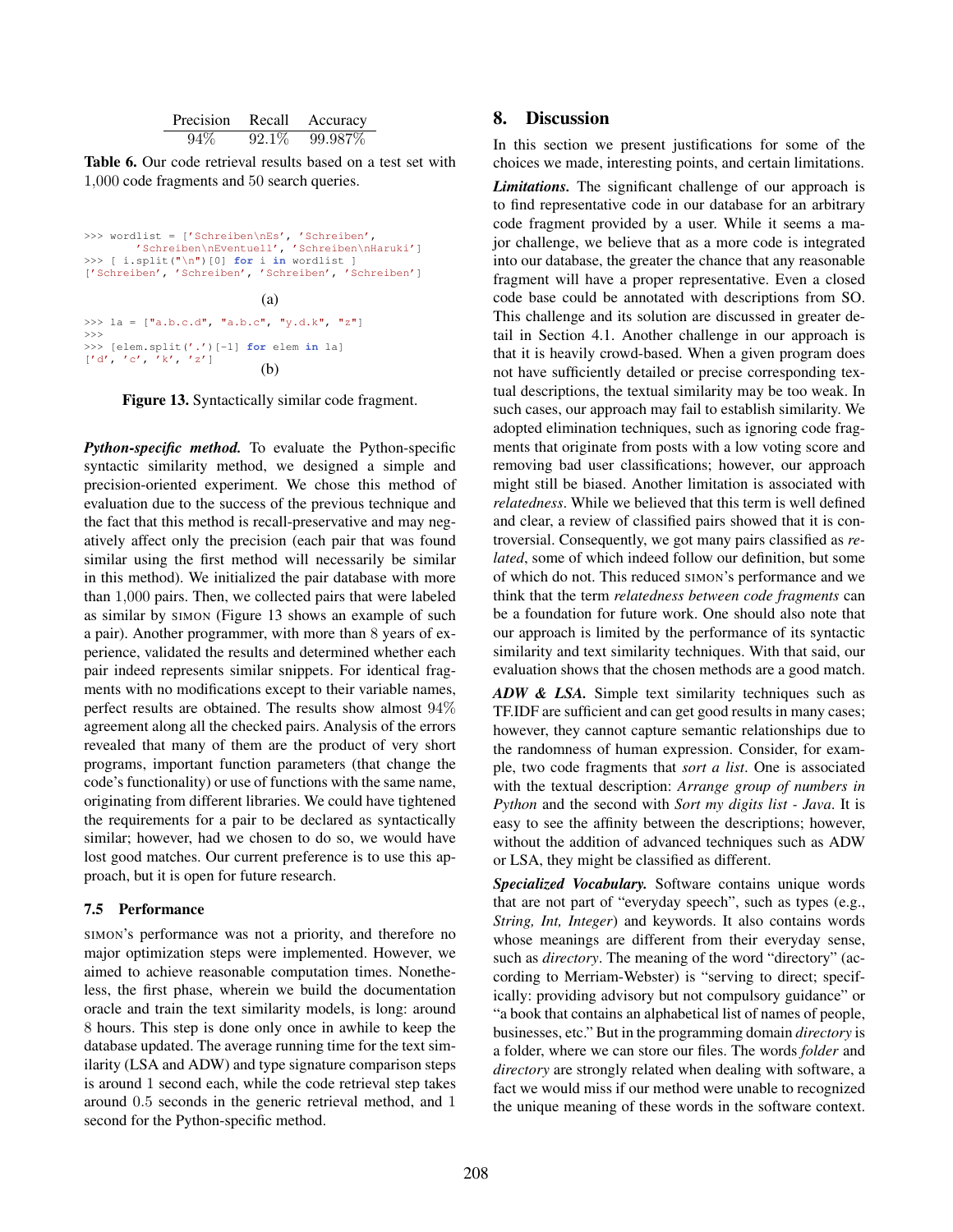| Precision | Recall | Accuracy |  |
|-----------|--------|----------|--|
| 94%       | 92.1\% | 99.987\% |  |

<span id="page-11-0"></span>Table 6. Our code retrieval results based on a test set with 1,000 code fragments and 50 search queries.

<span id="page-11-1"></span>>>> wordlist = ['Schreiben\nEs', 'Schreiben', 'Schreiben\nEventuell', 'Schreiben\nHaruki'] >>> [ i.split("\n")[0] **for** i **in** wordlist ] ['Schreiben', 'Schreiben', 'Schreiben', 'Schreiben'] (a) >>> la =  $["a.b.c.d", "a.b.c", "v.d.k", "z"]$ 

Figure 13. Syntactically similar code fragment.

(b)

>>> [elem.split('.')[-1] **for** elem **in** la] ['d', 'c', 'k', 'z']

*Python-specific method.* To evaluate the Python-specific syntactic similarity method, we designed a simple and precision-oriented experiment. We chose this method of evaluation due to the success of the previous technique and the fact that this method is recall-preservative and may negatively affect only the precision (each pair that was found similar using the first method will necessarily be similar in this method). We initialized the pair database with more than 1,000 pairs. Then, we collected pairs that were labeled as similar by SIMON [\(Figure 13](#page-11-1) shows an example of such a pair). Another programmer, with more than 8 years of experience, validated the results and determined whether each pair indeed represents similar snippets. For identical fragments with no modifications except to their variable names, perfect results are obtained. The results show almost 94% agreement along all the checked pairs. Analysis of the errors revealed that many of them are the product of very short programs, important function parameters (that change the code's functionality) or use of functions with the same name, originating from different libraries. We could have tightened the requirements for a pair to be declared as syntactically similar; however, had we chosen to do so, we would have lost good matches. Our current preference is to use this approach, but it is open for future research.

## 7.5 Performance

>>>

SIMON's performance was not a priority, and therefore no major optimization steps were implemented. However, we aimed to achieve reasonable computation times. Nonetheless, the first phase, wherein we build the documentation oracle and train the text similarity models, is long: around 8 hours. This step is done only once in awhile to keep the database updated. The average running time for the text similarity (LSA and ADW) and type signature comparison steps is around 1 second each, while the code retrieval step takes around 0.5 seconds in the generic retrieval method, and 1 second for the Python-specific method.

# 8. Discussion

In this section we present justifications for some of the choices we made, interesting points, and certain limitations.

*Limitations.* The significant challenge of our approach is to find representative code in our database for an arbitrary code fragment provided by a user. While it seems a major challenge, we believe that as a more code is integrated into our database, the greater the chance that any reasonable fragment will have a proper representative. Even a closed code base could be annotated with descriptions from SO. This challenge and its solution are discussed in greater detail in [Section 4.1.](#page-3-2) Another challenge in our approach is that it is heavily crowd-based. When a given program does not have sufficiently detailed or precise corresponding textual descriptions, the textual similarity may be too weak. In such cases, our approach may fail to establish similarity. We adopted elimination techniques, such as ignoring code fragments that originate from posts with a low voting score and removing bad user classifications; however, our approach might still be biased. Another limitation is associated with *relatedness*. While we believed that this term is well defined and clear, a review of classified pairs showed that it is controversial. Consequently, we got many pairs classified as *related*, some of which indeed follow our definition, but some of which do not. This reduced SIMON's performance and we think that the term *relatedness between code fragments* can be a foundation for future work. One should also note that our approach is limited by the performance of its syntactic similarity and text similarity techniques. With that said, our evaluation shows that the chosen methods are a good match.

*ADW & LSA.* Simple text similarity techniques such as TF.IDF are sufficient and can get good results in many cases; however, they cannot capture semantic relationships due to the randomness of human expression. Consider, for example, two code fragments that *sort a list*. One is associated with the textual description: *Arrange group of numbers in Python* and the second with *Sort my digits list - Java*. It is easy to see the affinity between the descriptions; however, without the addition of advanced techniques such as ADW or LSA, they might be classified as different.

*Specialized Vocabulary.* Software contains unique words that are not part of "everyday speech", such as types (e.g., *String, Int, Integer*) and keywords. It also contains words whose meanings are different from their everyday sense, such as *directory*. The meaning of the word "directory" (according to Merriam-Webster) is "serving to direct; specifically: providing advisory but not compulsory guidance" or "a book that contains an alphabetical list of names of people, businesses, etc." But in the programming domain *directory* is a folder, where we can store our files. The words *folder* and *directory* are strongly related when dealing with software, a fact we would miss if our method were unable to recognized the unique meaning of these words in the software context.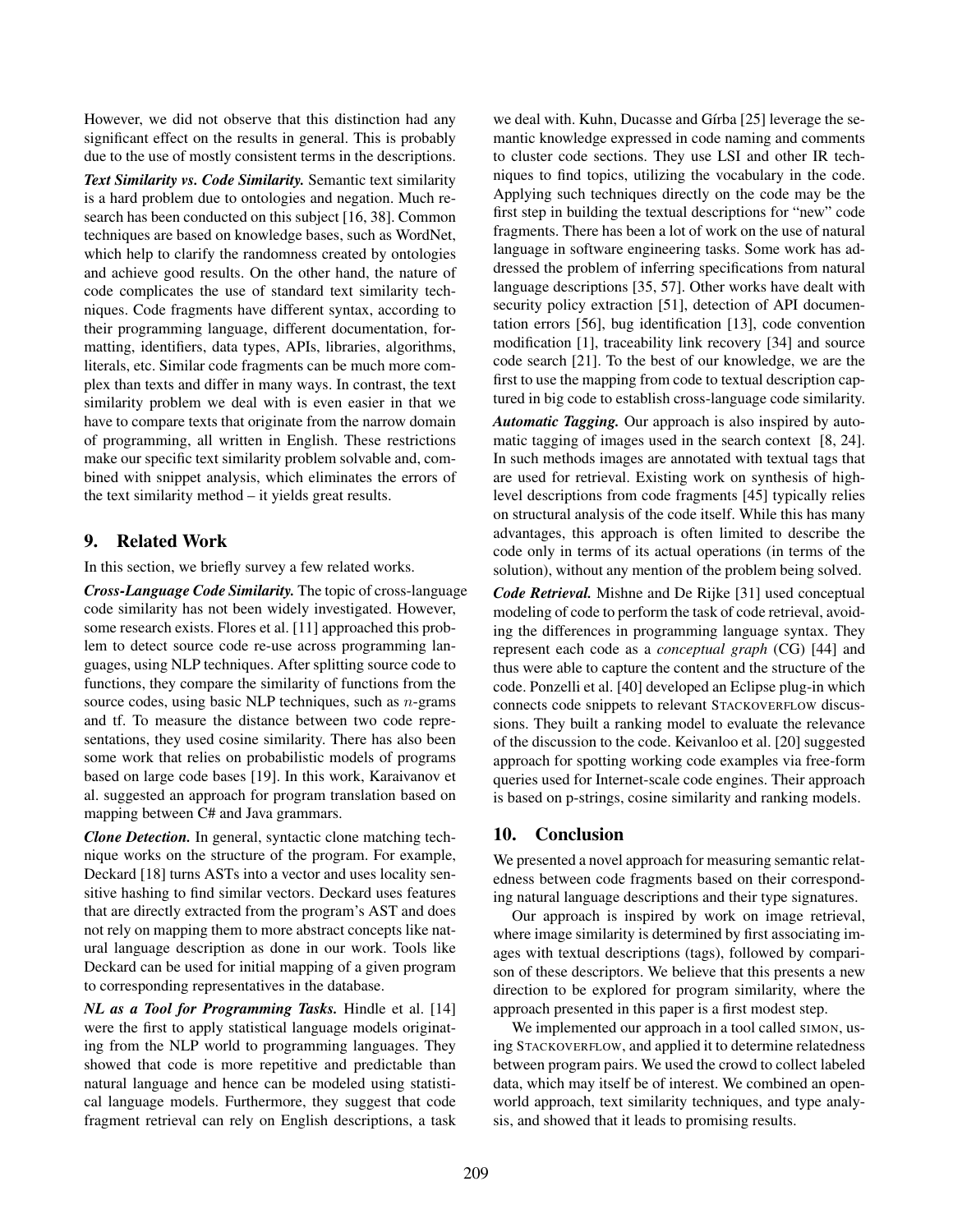However, we did not observe that this distinction had any significant effect on the results in general. This is probably due to the use of mostly consistent terms in the descriptions.

*Text Similarity vs. Code Similarity.* Semantic text similarity is a hard problem due to ontologies and negation. Much research has been conducted on this subject [\[16,](#page-13-23) [38\]](#page-14-7). Common techniques are based on knowledge bases, such as WordNet, which help to clarify the randomness created by ontologies and achieve good results. On the other hand, the nature of code complicates the use of standard text similarity techniques. Code fragments have different syntax, according to their programming language, different documentation, formatting, identifiers, data types, APIs, libraries, algorithms, literals, etc. Similar code fragments can be much more complex than texts and differ in many ways. In contrast, the text similarity problem we deal with is even easier in that we have to compare texts that originate from the narrow domain of programming, all written in English. These restrictions make our specific text similarity problem solvable and, combined with snippet analysis, which eliminates the errors of the text similarity method – it yields great results.

# 9. Related Work

In this section, we briefly survey a few related works.

*Cross-Language Code Similarity.* The topic of cross-language code similarity has not been widely investigated. However, some research exists. Flores et al. [\[11\]](#page-13-20) approached this problem to detect source code re-use across programming languages, using NLP techniques. After splitting source code to functions, they compare the similarity of functions from the source codes, using basic NLP techniques, such as  $n$ -grams and tf. To measure the distance between two code representations, they used cosine similarity. There has also been some work that relies on probabilistic models of programs based on large code bases [\[19\]](#page-13-24). In this work, Karaivanov et al. suggested an approach for program translation based on mapping between C# and Java grammars.

*Clone Detection.* In general, syntactic clone matching technique works on the structure of the program. For example, Deckard [\[18\]](#page-13-12) turns ASTs into a vector and uses locality sensitive hashing to find similar vectors. Deckard uses features that are directly extracted from the program's AST and does not rely on mapping them to more abstract concepts like natural language description as done in our work. Tools like Deckard can be used for initial mapping of a given program to corresponding representatives in the database.

*NL as a Tool for Programming Tasks.* Hindle et al. [\[14\]](#page-13-6) were the first to apply statistical language models originating from the NLP world to programming languages. They showed that code is more repetitive and predictable than natural language and hence can be modeled using statistical language models. Furthermore, they suggest that code fragment retrieval can rely on English descriptions, a task we deal with. Kuhn, Ducasse and Gírba [\[25\]](#page-13-25) leverage the semantic knowledge expressed in code naming and comments to cluster code sections. They use LSI and other IR techniques to find topics, utilizing the vocabulary in the code. Applying such techniques directly on the code may be the first step in building the textual descriptions for "new" code fragments. There has been a lot of work on the use of natural language in software engineering tasks. Some work has addressed the problem of inferring specifications from natural language descriptions [\[35,](#page-14-16) [57\]](#page-14-17). Other works have dealt with security policy extraction [\[51\]](#page-14-18), detection of API documentation errors [\[56\]](#page-14-19), bug identification [\[13\]](#page-13-26), code convention modification [\[1\]](#page-13-27), traceability link recovery [\[34\]](#page-14-20) and source code search [\[21\]](#page-13-28). To the best of our knowledge, we are the first to use the mapping from code to textual description captured in big code to establish cross-language code similarity.

*Automatic Tagging.* Our approach is also inspired by automatic tagging of images used in the search context [\[8,](#page-13-29) [24\]](#page-13-30). In such methods images are annotated with textual tags that are used for retrieval. Existing work on synthesis of highlevel descriptions from code fragments [\[45\]](#page-14-21) typically relies on structural analysis of the code itself. While this has many advantages, this approach is often limited to describe the code only in terms of its actual operations (in terms of the solution), without any mention of the problem being solved.

*Code Retrieval.* Mishne and De Rijke [\[31\]](#page-13-31) used conceptual modeling of code to perform the task of code retrieval, avoiding the differences in programming language syntax. They represent each code as a *conceptual graph* (CG) [\[44\]](#page-14-22) and thus were able to capture the content and the structure of the code. Ponzelli et al. [\[40\]](#page-14-23) developed an Eclipse plug-in which connects code snippets to relevant STACKOVERFLOW discussions. They built a ranking model to evaluate the relevance of the discussion to the code. Keivanloo et al. [\[20\]](#page-13-32) suggested approach for spotting working code examples via free-form queries used for Internet-scale code engines. Their approach is based on p-strings, cosine similarity and ranking models.

# 10. Conclusion

We presented a novel approach for measuring semantic relatedness between code fragments based on their corresponding natural language descriptions and their type signatures.

Our approach is inspired by work on image retrieval, where image similarity is determined by first associating images with textual descriptions (tags), followed by comparison of these descriptors. We believe that this presents a new direction to be explored for program similarity, where the approach presented in this paper is a first modest step.

We implemented our approach in a tool called SIMON, using STACKOVERFLOW, and applied it to determine relatedness between program pairs. We used the crowd to collect labeled data, which may itself be of interest. We combined an openworld approach, text similarity techniques, and type analysis, and showed that it leads to promising results.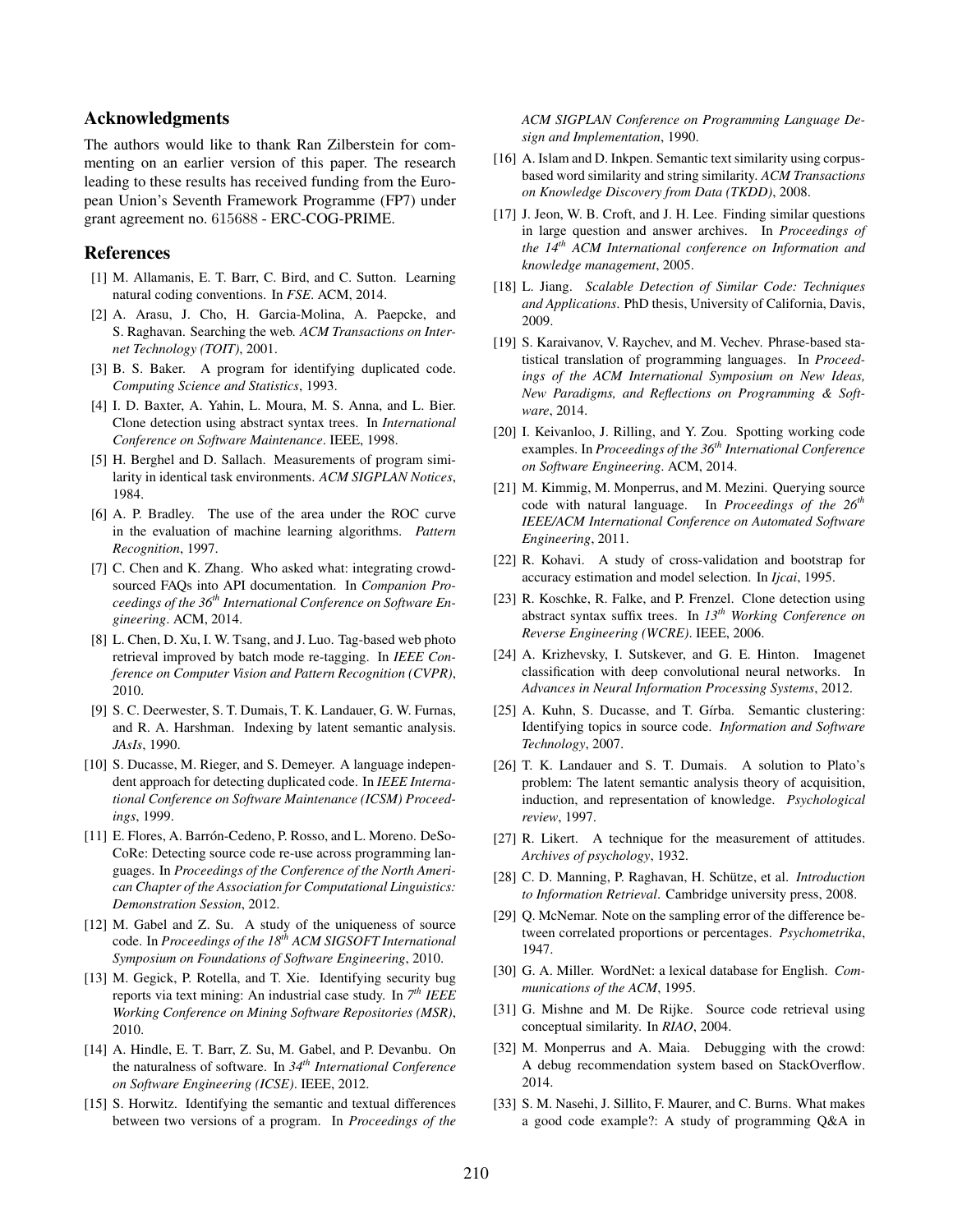# Acknowledgments

The authors would like to thank Ran Zilberstein for commenting on an earlier version of this paper. The research leading to these results has received funding from the European Union's Seventh Framework Programme (FP7) under grant agreement no. 615688 - ERC-COG-PRIME.

## References

- <span id="page-13-27"></span>[1] M. Allamanis, E. T. Barr, C. Bird, and C. Sutton. Learning natural coding conventions. In *FSE*. ACM, 2014.
- <span id="page-13-7"></span>[2] A. Arasu, J. Cho, H. Garcia-Molina, A. Paepcke, and S. Raghavan. Searching the web. *ACM Transactions on Internet Technology (TOIT)*, 2001.
- <span id="page-13-2"></span>[3] B. S. Baker. A program for identifying duplicated code. *Computing Science and Statistics*, 1993.
- <span id="page-13-3"></span>[4] I. D. Baxter, A. Yahin, L. Moura, M. S. Anna, and L. Bier. Clone detection using abstract syntax trees. In *International Conference on Software Maintenance*. IEEE, 1998.
- <span id="page-13-0"></span>[5] H. Berghel and D. Sallach. Measurements of program similarity in identical task environments. *ACM SIGPLAN Notices*, 1984.
- <span id="page-13-21"></span>[6] A. P. Bradley. The use of the area under the ROC curve in the evaluation of machine learning algorithms. *Pattern Recognition*, 1997.
- <span id="page-13-18"></span>[7] C. Chen and K. Zhang. Who asked what: integrating crowdsourced FAQs into API documentation. In *Companion Proceedings of the 36th International Conference on Software Engineering*. ACM, 2014.
- <span id="page-13-29"></span>[8] L. Chen, D. Xu, I. W. Tsang, and J. Luo. Tag-based web photo retrieval improved by batch mode re-tagging. In *IEEE Conference on Computer Vision and Pattern Recognition (CVPR)*, 2010.
- <span id="page-13-8"></span>[9] S. C. Deerwester, S. T. Dumais, T. K. Landauer, G. W. Furnas, and R. A. Harshman. Indexing by latent semantic analysis. *JAsIs*, 1990.
- <span id="page-13-1"></span>[10] S. Ducasse, M. Rieger, and S. Demeyer. A language independent approach for detecting duplicated code. In *IEEE International Conference on Software Maintenance (ICSM) Proceedings*, 1999.
- <span id="page-13-20"></span>[11] E. Flores, A. Barrón-Cedeno, P. Rosso, and L. Moreno. DeSo-CoRe: Detecting source code re-use across programming languages. In *Proceedings of the Conference of the North American Chapter of the Association for Computational Linguistics: Demonstration Session*, 2012.
- <span id="page-13-11"></span>[12] M. Gabel and Z. Su. A study of the uniqueness of source code. In *Proceedings of the 18th ACM SIGSOFT International Symposium on Foundations of Software Engineering*, 2010.
- <span id="page-13-26"></span>[13] M. Gegick, P. Rotella, and T. Xie. Identifying security bug reports via text mining: An industrial case study. In *7 th IEEE Working Conference on Mining Software Repositories (MSR)*, 2010.
- <span id="page-13-6"></span>[14] A. Hindle, E. T. Barr, Z. Su, M. Gabel, and P. Devanbu. On the naturalness of software. In *34th International Conference on Software Engineering (ICSE)*. IEEE, 2012.
- <span id="page-13-5"></span>[15] S. Horwitz. Identifying the semantic and textual differences between two versions of a program. In *Proceedings of the*

*ACM SIGPLAN Conference on Programming Language Design and Implementation*, 1990.

- <span id="page-13-23"></span>[16] A. Islam and D. Inkpen. Semantic text similarity using corpusbased word similarity and string similarity. *ACM Transactions on Knowledge Discovery from Data (TKDD)*, 2008.
- <span id="page-13-15"></span>[17] J. Jeon, W. B. Croft, and J. H. Lee. Finding similar questions in large question and answer archives. In *Proceedings of the 14th ACM International conference on Information and knowledge management*, 2005.
- <span id="page-13-12"></span>[18] L. Jiang. *Scalable Detection of Similar Code: Techniques and Applications*. PhD thesis, University of California, Davis, 2009.
- <span id="page-13-24"></span>[19] S. Karaivanov, V. Raychev, and M. Vechev. Phrase-based statistical translation of programming languages. In *Proceedings of the ACM International Symposium on New Ideas, New Paradigms, and Reflections on Programming & Software*, 2014.
- <span id="page-13-32"></span>[20] I. Keivanloo, J. Rilling, and Y. Zou. Spotting working code examples. In *Proceedings of the 36th International Conference on Software Engineering*. ACM, 2014.
- <span id="page-13-28"></span>[21] M. Kimmig, M. Monperrus, and M. Mezini. Querying source code with natural language. In *Proceedings of the 26th IEEE/ACM International Conference on Automated Software Engineering*, 2011.
- <span id="page-13-17"></span>[22] R. Kohavi. A study of cross-validation and bootstrap for accuracy estimation and model selection. In *Ijcai*, 1995.
- <span id="page-13-4"></span>[23] R. Koschke, R. Falke, and P. Frenzel. Clone detection using abstract syntax suffix trees. In *13th Working Conference on Reverse Engineering (WCRE)*. IEEE, 2006.
- <span id="page-13-30"></span>[24] A. Krizhevsky, I. Sutskever, and G. E. Hinton. Imagenet classification with deep convolutional neural networks. In *Advances in Neural Information Processing Systems*, 2012.
- <span id="page-13-25"></span>[25] A. Kuhn, S. Ducasse, and T. Gírba. Semantic clustering: Identifying topics in source code. *Information and Software Technology*, 2007.
- <span id="page-13-14"></span>[26] T. K. Landauer and S. T. Dumais. A solution to Plato's problem: The latent semantic analysis theory of acquisition, induction, and representation of knowledge. *Psychological review*, 1997.
- <span id="page-13-19"></span>[27] R. Likert. A technique for the measurement of attitudes. *Archives of psychology*, 1932.
- <span id="page-13-10"></span>[28] C. D. Manning, P. Raghavan, H. Schütze, et al. *Introduction to Information Retrieval*. Cambridge university press, 2008.
- <span id="page-13-22"></span>[29] Q. McNemar. Note on the sampling error of the difference between correlated proportions or percentages. *Psychometrika*, 1947.
- <span id="page-13-9"></span>[30] G. A. Miller. WordNet: a lexical database for English. *Communications of the ACM*, 1995.
- <span id="page-13-31"></span>[31] G. Mishne and M. De Rijke. Source code retrieval using conceptual similarity. In *RIAO*, 2004.
- <span id="page-13-13"></span>[32] M. Monperrus and A. Maia. Debugging with the crowd: A debug recommendation system based on StackOverflow. 2014.
- <span id="page-13-16"></span>[33] S. M. Nasehi, J. Sillito, F. Maurer, and C. Burns. What makes a good code example?: A study of programming Q&A in